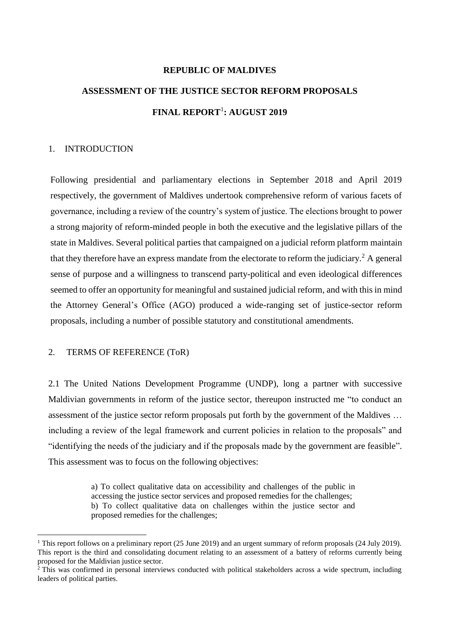# **REPUBLIC OF MALDIVES ASSESSMENT OF THE JUSTICE SECTOR REFORM PROPOSALS FINAL REPORT**<sup>1</sup> **: AUGUST 2019**

#### 1. INTRODUCTION

Following presidential and parliamentary elections in September 2018 and April 2019 respectively, the government of Maldives undertook comprehensive reform of various facets of governance, including a review of the country's system of justice. The elections brought to power a strong majority of reform-minded people in both the executive and the legislative pillars of the state in Maldives. Several political parties that campaigned on a judicial reform platform maintain that they therefore have an express mandate from the electorate to reform the judiciary.<sup>2</sup> A general sense of purpose and a willingness to transcend party-political and even ideological differences seemed to offer an opportunity for meaningful and sustained judicial reform, and with this in mind the Attorney General's Office (AGO) produced a wide-ranging set of justice-sector reform proposals, including a number of possible statutory and constitutional amendments.

#### 2. TERMS OF REFERENCE (ToR)

2.1 The United Nations Development Programme (UNDP), long a partner with successive Maldivian governments in reform of the justice sector, thereupon instructed me "to conduct an assessment of the justice sector reform proposals put forth by the government of the Maldives … including a review of the legal framework and current policies in relation to the proposals" and "identifying the needs of the judiciary and if the proposals made by the government are feasible". This assessment was to focus on the following objectives:

> a) To collect qualitative data on accessibility and challenges of the public in accessing the justice sector services and proposed remedies for the challenges; b) To collect qualitative data on challenges within the justice sector and proposed remedies for the challenges;

<sup>&</sup>lt;sup>1</sup> This report follows on a preliminary report (25 June 2019) and an urgent summary of reform proposals (24 July 2019). This report is the third and consolidating document relating to an assessment of a battery of reforms currently being proposed for the Maldivian justice sector.

 $2$  This was confirmed in personal interviews conducted with political stakeholders across a wide spectrum, including leaders of political parties.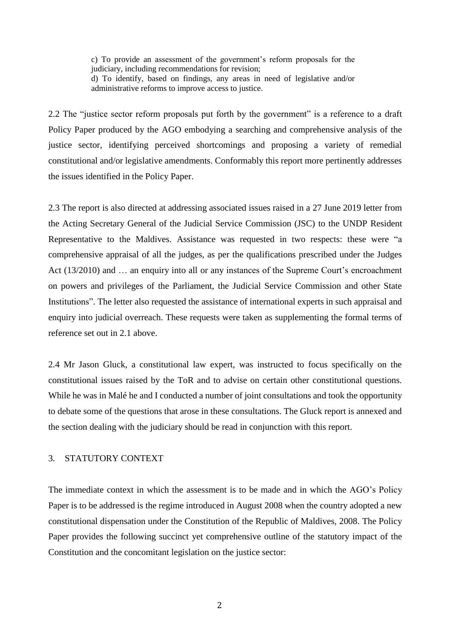c) To provide an assessment of the government's reform proposals for the judiciary, including recommendations for revision; d) To identify, based on findings, any areas in need of legislative and/or administrative reforms to improve access to justice.

2.2 The "justice sector reform proposals put forth by the government" is a reference to a draft Policy Paper produced by the AGO embodying a searching and comprehensive analysis of the justice sector, identifying perceived shortcomings and proposing a variety of remedial constitutional and/or legislative amendments. Conformably this report more pertinently addresses the issues identified in the Policy Paper.

2.3 The report is also directed at addressing associated issues raised in a 27 June 2019 letter from the Acting Secretary General of the Judicial Service Commission (JSC) to the UNDP Resident Representative to the Maldives. Assistance was requested in two respects: these were "a comprehensive appraisal of all the judges, as per the qualifications prescribed under the Judges Act (13/2010) and ... an enquiry into all or any instances of the Supreme Court's encroachment on powers and privileges of the Parliament, the Judicial Service Commission and other State Institutions". The letter also requested the assistance of international experts in such appraisal and enquiry into judicial overreach. These requests were taken as supplementing the formal terms of reference set out in 2.1 above.

2.4 Mr Jason Gluck, a constitutional law expert, was instructed to focus specifically on the constitutional issues raised by the ToR and to advise on certain other constitutional questions. While he was in Malé he and I conducted a number of joint consultations and took the opportunity to debate some of the questions that arose in these consultations. The Gluck report is annexed and the section dealing with the judiciary should be read in conjunction with this report.

#### 3. STATUTORY CONTEXT

The immediate context in which the assessment is to be made and in which the AGO's Policy Paper is to be addressed is the regime introduced in August 2008 when the country adopted a new constitutional dispensation under the Constitution of the Republic of Maldives, 2008. The Policy Paper provides the following succinct yet comprehensive outline of the statutory impact of the Constitution and the concomitant legislation on the justice sector: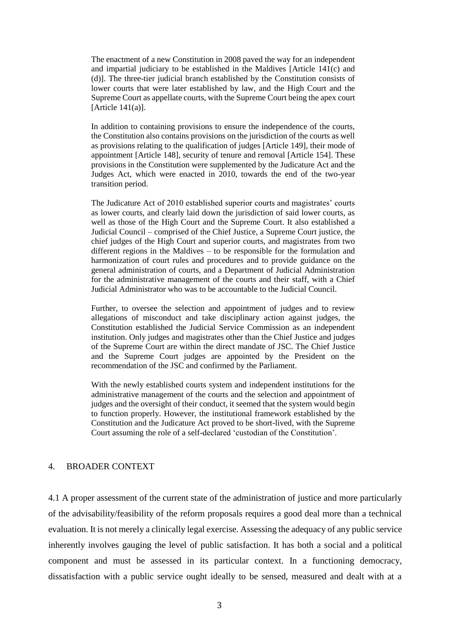The enactment of a new Constitution in 2008 paved the way for an independent and impartial judiciary to be established in the Maldives [Article 141(c) and (d)]. The three-tier judicial branch established by the Constitution consists of lower courts that were later established by law, and the High Court and the Supreme Court as appellate courts, with the Supreme Court being the apex court  $[Article 141(a)].$ 

In addition to containing provisions to ensure the independence of the courts, the Constitution also contains provisions on the jurisdiction of the courts as well as provisions relating to the qualification of judges [Article 149], their mode of appointment [Article 148], security of tenure and removal [Article 154]. These provisions in the Constitution were supplemented by the Judicature Act and the Judges Act, which were enacted in 2010, towards the end of the two-year transition period.

The Judicature Act of 2010 established superior courts and magistrates' courts as lower courts, and clearly laid down the jurisdiction of said lower courts, as well as those of the High Court and the Supreme Court. It also established a Judicial Council – comprised of the Chief Justice, a Supreme Court justice, the chief judges of the High Court and superior courts, and magistrates from two different regions in the Maldives – to be responsible for the formulation and harmonization of court rules and procedures and to provide guidance on the general administration of courts, and a Department of Judicial Administration for the administrative management of the courts and their staff, with a Chief Judicial Administrator who was to be accountable to the Judicial Council.

Further, to oversee the selection and appointment of judges and to review allegations of misconduct and take disciplinary action against judges, the Constitution established the Judicial Service Commission as an independent institution. Only judges and magistrates other than the Chief Justice and judges of the Supreme Court are within the direct mandate of JSC. The Chief Justice and the Supreme Court judges are appointed by the President on the recommendation of the JSC and confirmed by the Parliament.

With the newly established courts system and independent institutions for the administrative management of the courts and the selection and appointment of judges and the oversight of their conduct, it seemed that the system would begin to function properly. However, the institutional framework established by the Constitution and the Judicature Act proved to be short-lived, with the Supreme Court assuming the role of a self-declared 'custodian of the Constitution'.

#### 4. BROADER CONTEXT

4.1 A proper assessment of the current state of the administration of justice and more particularly of the advisability/feasibility of the reform proposals requires a good deal more than a technical evaluation. It is not merely a clinically legal exercise. Assessing the adequacy of any public service inherently involves gauging the level of public satisfaction. It has both a social and a political component and must be assessed in its particular context. In a functioning democracy, dissatisfaction with a public service ought ideally to be sensed, measured and dealt with at a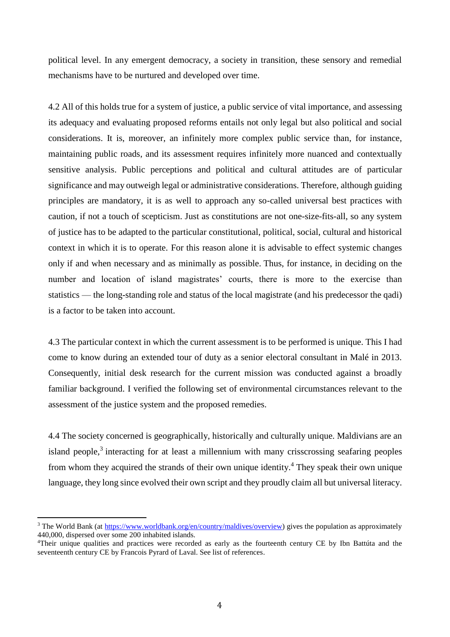political level. In any emergent democracy, a society in transition, these sensory and remedial mechanisms have to be nurtured and developed over time.

4.2 All of this holds true for a system of justice, a public service of vital importance, and assessing its adequacy and evaluating proposed reforms entails not only legal but also political and social considerations. It is, moreover, an infinitely more complex public service than, for instance, maintaining public roads, and its assessment requires infinitely more nuanced and contextually sensitive analysis. Public perceptions and political and cultural attitudes are of particular significance and may outweigh legal or administrative considerations. Therefore, although guiding principles are mandatory, it is as well to approach any so-called universal best practices with caution, if not a touch of scepticism. Just as constitutions are not one-size-fits-all, so any system of justice has to be adapted to the particular constitutional, political, social, cultural and historical context in which it is to operate. For this reason alone it is advisable to effect systemic changes only if and when necessary and as minimally as possible. Thus, for instance, in deciding on the number and location of island magistrates' courts, there is more to the exercise than statistics — the long-standing role and status of the local magistrate (and his predecessor the qadi) is a factor to be taken into account.

4.3 The particular context in which the current assessment is to be performed is unique. This I had come to know during an extended tour of duty as a senior electoral consultant in Malé in 2013. Consequently, initial desk research for the current mission was conducted against a broadly familiar background. I verified the following set of environmental circumstances relevant to the assessment of the justice system and the proposed remedies.

4.4 The society concerned is geographically, historically and culturally unique. Maldivians are an island people,<sup>3</sup> interacting for at least a millennium with many crisscrossing seafaring peoples from whom they acquired the strands of their own unique identity. <sup>4</sup> They speak their own unique language, they long since evolved their own script and they proudly claim all but universal literacy.

<sup>&</sup>lt;sup>3</sup> The World Bank (at [https://www.worldbank.org/en/country/maldives/overview\)](https://www.worldbank.org/en/country/maldives/overview) gives the population as approximately 440,000, dispersed over some 200 inhabited islands.

<sup>&</sup>lt;sup>4</sup>Their unique qualities and practices were recorded as early as the fourteenth century CE by Ibn Battúta and the seventeenth century CE by Francois Pyrard of Laval. See list of references.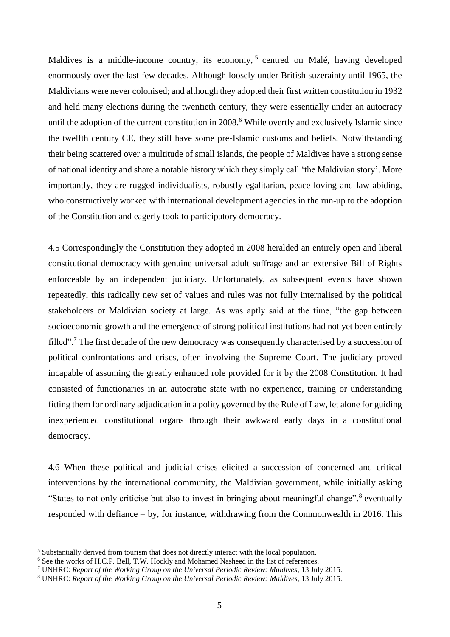Maldives is a middle-income country, its economy,<sup>5</sup> centred on Malé, having developed enormously over the last few decades. Although loosely under British suzerainty until 1965, the Maldivians were never colonised; and although they adopted their first written constitution in 1932 and held many elections during the twentieth century, they were essentially under an autocracy until the adoption of the current constitution in 2008.<sup>6</sup> While overtly and exclusively Islamic since the twelfth century CE, they still have some pre-Islamic customs and beliefs. Notwithstanding their being scattered over a multitude of small islands, the people of Maldives have a strong sense of national identity and share a notable history which they simply call 'the Maldivian story'. More importantly, they are rugged individualists, robustly egalitarian, peace-loving and law-abiding, who constructively worked with international development agencies in the run-up to the adoption of the Constitution and eagerly took to participatory democracy.

4.5 Correspondingly the Constitution they adopted in 2008 heralded an entirely open and liberal constitutional democracy with genuine universal adult suffrage and an extensive Bill of Rights enforceable by an independent judiciary. Unfortunately, as subsequent events have shown repeatedly, this radically new set of values and rules was not fully internalised by the political stakeholders or Maldivian society at large. As was aptly said at the time, "the gap between socioeconomic growth and the emergence of strong political institutions had not yet been entirely filled".<sup>7</sup> The first decade of the new democracy was consequently characterised by a succession of political confrontations and crises, often involving the Supreme Court. The judiciary proved incapable of assuming the greatly enhanced role provided for it by the 2008 Constitution. It had consisted of functionaries in an autocratic state with no experience, training or understanding fitting them for ordinary adjudication in a polity governed by the Rule of Law, let alone for guiding inexperienced constitutional organs through their awkward early days in a constitutional democracy.

4.6 When these political and judicial crises elicited a succession of concerned and critical interventions by the international community, the Maldivian government, while initially asking "States to not only criticise but also to invest in bringing about meaningful change",<sup>8</sup> eventually responded with defiance – by, for instance, withdrawing from the Commonwealth in 2016. This

<sup>5</sup> Substantially derived from tourism that does not directly interact with the local population.

<sup>&</sup>lt;sup>6</sup> See the works of H.C.P. Bell, T.W. Hockly and Mohamed Nasheed in the list of references.

<sup>7</sup> UNHRC: *Report of the Working Group on the Universal Periodic Review: Maldives*, 13 July 2015.

<sup>8</sup> UNHRC: *Report of the Working Group on the Universal Periodic Review: Maldives*, 13 July 2015.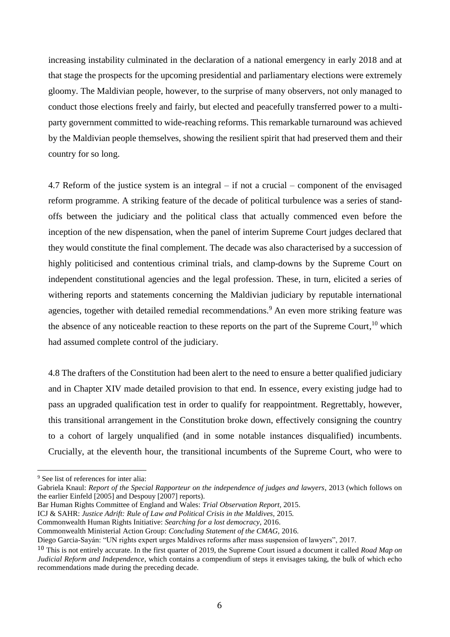increasing instability culminated in the declaration of a national emergency in early 2018 and at that stage the prospects for the upcoming presidential and parliamentary elections were extremely gloomy. The Maldivian people, however, to the surprise of many observers, not only managed to conduct those elections freely and fairly, but elected and peacefully transferred power to a multiparty government committed to wide-reaching reforms. This remarkable turnaround was achieved by the Maldivian people themselves, showing the resilient spirit that had preserved them and their country for so long.

4.7 Reform of the justice system is an integral – if not a crucial – component of the envisaged reform programme. A striking feature of the decade of political turbulence was a series of standoffs between the judiciary and the political class that actually commenced even before the inception of the new dispensation, when the panel of interim Supreme Court judges declared that they would constitute the final complement. The decade was also characterised by a succession of highly politicised and contentious criminal trials, and clamp-downs by the Supreme Court on independent constitutional agencies and the legal profession. These, in turn, elicited a series of withering reports and statements concerning the Maldivian judiciary by reputable international agencies, together with detailed remedial recommendations.<sup>9</sup> An even more striking feature was the absence of any noticeable reaction to these reports on the part of the Supreme Court,<sup>10</sup> which had assumed complete control of the judiciary.

4.8 The drafters of the Constitution had been alert to the need to ensure a better qualified judiciary and in Chapter XIV made detailed provision to that end. In essence, every existing judge had to pass an upgraded qualification test in order to qualify for reappointment. Regrettably, however, this transitional arrangement in the Constitution broke down, effectively consigning the country to a cohort of largely unqualified (and in some notable instances disqualified) incumbents. Crucially, at the eleventh hour, the transitional incumbents of the Supreme Court, who were to

 $\overline{a}$ 

Bar Human Rights Committee of England and Wales: *Trial Observation Report,* 2015.

- Commonwealth Human Rights Initiative: *Searching for a lost democracy,* 2016.
- Commonwealth Ministerial Action Group: *Concluding Statement of the CMAG,* 2016.

<sup>9</sup> See list of references for inter alia:

Gabriela Knaul: *Report of the Special Rapporteur on the independence of judges and lawyers*, 2013 (which follows on the earlier Einfeld [2005] and Despouy [2007] reports).

ICJ & SAHR: *Justice Adrift: Rule of Law and Political Crisis in the Maldives,* 2015*.*

Diego Garcia-Sayán: "UN rights expert urges Maldives reforms after mass suspension of lawyers", 2017.

<sup>10</sup> This is not entirely accurate. In the first quarter of 2019, the Supreme Court issued a document it called *Road Map on Judicial Reform and Independence*, which contains a compendium of steps it envisages taking, the bulk of which echo recommendations made during the preceding decade.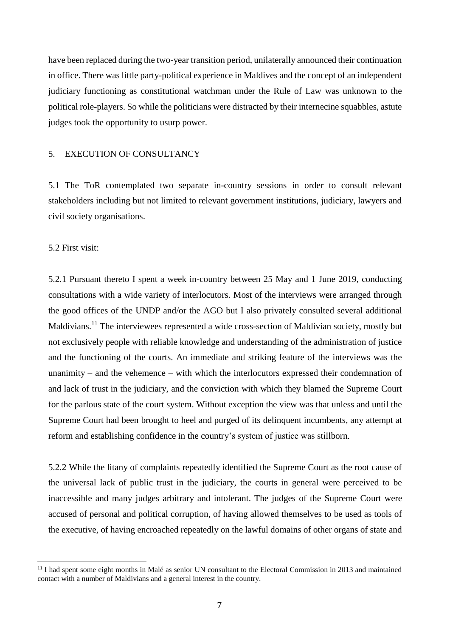have been replaced during the two-year transition period, unilaterally announced their continuation in office. There was little party-political experience in Maldives and the concept of an independent judiciary functioning as constitutional watchman under the Rule of Law was unknown to the political role-players. So while the politicians were distracted by their internecine squabbles, astute judges took the opportunity to usurp power.

#### 5. EXECUTION OF CONSULTANCY

5.1 The ToR contemplated two separate in-country sessions in order to consult relevant stakeholders including but not limited to relevant government institutions, judiciary, lawyers and civil society organisations.

#### 5.2 First visit:

 $\overline{a}$ 

5.2.1 Pursuant thereto I spent a week in-country between 25 May and 1 June 2019, conducting consultations with a wide variety of interlocutors. Most of the interviews were arranged through the good offices of the UNDP and/or the AGO but I also privately consulted several additional Maldivians.<sup>11</sup> The interviewees represented a wide cross-section of Maldivian society, mostly but not exclusively people with reliable knowledge and understanding of the administration of justice and the functioning of the courts. An immediate and striking feature of the interviews was the unanimity – and the vehemence – with which the interlocutors expressed their condemnation of and lack of trust in the judiciary, and the conviction with which they blamed the Supreme Court for the parlous state of the court system. Without exception the view was that unless and until the Supreme Court had been brought to heel and purged of its delinquent incumbents, any attempt at reform and establishing confidence in the country's system of justice was stillborn.

5.2.2 While the litany of complaints repeatedly identified the Supreme Court as the root cause of the universal lack of public trust in the judiciary, the courts in general were perceived to be inaccessible and many judges arbitrary and intolerant. The judges of the Supreme Court were accused of personal and political corruption, of having allowed themselves to be used as tools of the executive, of having encroached repeatedly on the lawful domains of other organs of state and

<sup>&</sup>lt;sup>11</sup> I had spent some eight months in Malé as senior UN consultant to the Electoral Commission in 2013 and maintained contact with a number of Maldivians and a general interest in the country.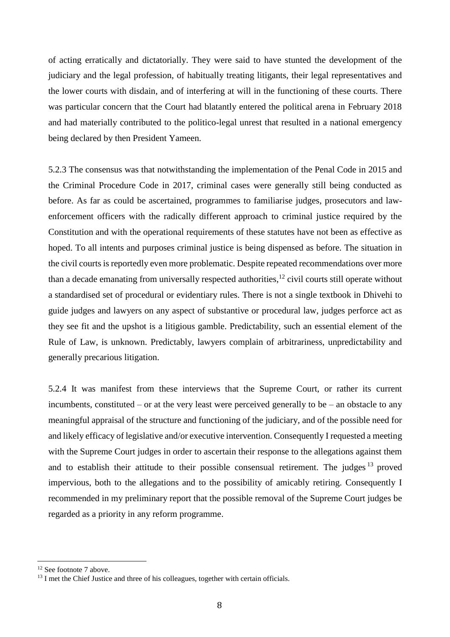of acting erratically and dictatorially. They were said to have stunted the development of the judiciary and the legal profession, of habitually treating litigants, their legal representatives and the lower courts with disdain, and of interfering at will in the functioning of these courts. There was particular concern that the Court had blatantly entered the political arena in February 2018 and had materially contributed to the politico-legal unrest that resulted in a national emergency being declared by then President Yameen.

5.2.3 The consensus was that notwithstanding the implementation of the Penal Code in 2015 and the Criminal Procedure Code in 2017, criminal cases were generally still being conducted as before. As far as could be ascertained, programmes to familiarise judges, prosecutors and lawenforcement officers with the radically different approach to criminal justice required by the Constitution and with the operational requirements of these statutes have not been as effective as hoped. To all intents and purposes criminal justice is being dispensed as before. The situation in the civil courts is reportedly even more problematic. Despite repeated recommendations over more than a decade emanating from universally respected authorities,<sup>12</sup> civil courts still operate without a standardised set of procedural or evidentiary rules. There is not a single textbook in Dhivehi to guide judges and lawyers on any aspect of substantive or procedural law, judges perforce act as they see fit and the upshot is a litigious gamble. Predictability, such an essential element of the Rule of Law, is unknown. Predictably, lawyers complain of arbitrariness, unpredictability and generally precarious litigation.

5.2.4 It was manifest from these interviews that the Supreme Court, or rather its current incumbents, constituted – or at the very least were perceived generally to be – an obstacle to any meaningful appraisal of the structure and functioning of the judiciary, and of the possible need for and likely efficacy of legislative and/or executive intervention. Consequently I requested a meeting with the Supreme Court judges in order to ascertain their response to the allegations against them and to establish their attitude to their possible consensual retirement. The judges  $13$  proved impervious, both to the allegations and to the possibility of amicably retiring. Consequently I recommended in my preliminary report that the possible removal of the Supreme Court judges be regarded as a priority in any reform programme.

<sup>&</sup>lt;sup>12</sup> See footnote 7 above.

 $13$  I met the Chief Justice and three of his colleagues, together with certain officials.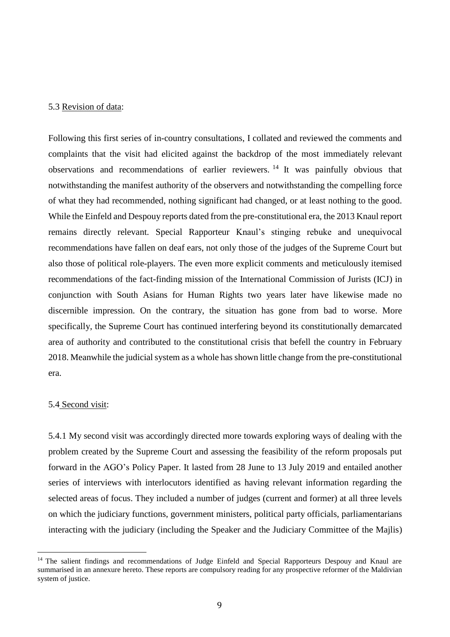#### 5.3 Revision of data:

Following this first series of in-country consultations, I collated and reviewed the comments and complaints that the visit had elicited against the backdrop of the most immediately relevant observations and recommendations of earlier reviewers. <sup>14</sup> It was painfully obvious that notwithstanding the manifest authority of the observers and notwithstanding the compelling force of what they had recommended, nothing significant had changed, or at least nothing to the good. While the Einfeld and Despouy reports dated from the pre-constitutional era, the 2013 Knaul report remains directly relevant. Special Rapporteur Knaul's stinging rebuke and unequivocal recommendations have fallen on deaf ears, not only those of the judges of the Supreme Court but also those of political role-players. The even more explicit comments and meticulously itemised recommendations of the fact-finding mission of the International Commission of Jurists (ICJ) in conjunction with South Asians for Human Rights two years later have likewise made no discernible impression. On the contrary, the situation has gone from bad to worse. More specifically, the Supreme Court has continued interfering beyond its constitutionally demarcated area of authority and contributed to the constitutional crisis that befell the country in February 2018. Meanwhile the judicial system as a whole has shown little change from the pre-constitutional era.

#### 5.4 Second visit:

 $\overline{a}$ 

5.4.1 My second visit was accordingly directed more towards exploring ways of dealing with the problem created by the Supreme Court and assessing the feasibility of the reform proposals put forward in the AGO's Policy Paper. It lasted from 28 June to 13 July 2019 and entailed another series of interviews with interlocutors identified as having relevant information regarding the selected areas of focus. They included a number of judges (current and former) at all three levels on which the judiciary functions, government ministers, political party officials, parliamentarians interacting with the judiciary (including the Speaker and the Judiciary Committee of the Majlis)

<sup>&</sup>lt;sup>14</sup> The salient findings and recommendations of Judge Einfeld and Special Rapporteurs Despouy and Knaul are summarised in an annexure hereto. These reports are compulsory reading for any prospective reformer of the Maldivian system of justice.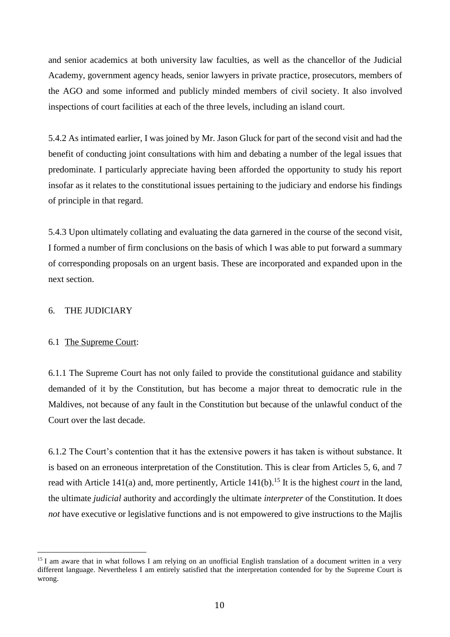and senior academics at both university law faculties, as well as the chancellor of the Judicial Academy, government agency heads, senior lawyers in private practice, prosecutors, members of the AGO and some informed and publicly minded members of civil society. It also involved inspections of court facilities at each of the three levels, including an island court.

5.4.2 As intimated earlier, I was joined by Mr. Jason Gluck for part of the second visit and had the benefit of conducting joint consultations with him and debating a number of the legal issues that predominate. I particularly appreciate having been afforded the opportunity to study his report insofar as it relates to the constitutional issues pertaining to the judiciary and endorse his findings of principle in that regard.

5.4.3 Upon ultimately collating and evaluating the data garnered in the course of the second visit, I formed a number of firm conclusions on the basis of which I was able to put forward a summary of corresponding proposals on an urgent basis. These are incorporated and expanded upon in the next section.

#### 6. THE JUDICIARY

#### 6.1 The Supreme Court:

 $\overline{a}$ 

6.1.1 The Supreme Court has not only failed to provide the constitutional guidance and stability demanded of it by the Constitution, but has become a major threat to democratic rule in the Maldives, not because of any fault in the Constitution but because of the unlawful conduct of the Court over the last decade.

6.1.2 The Court's contention that it has the extensive powers it has taken is without substance. It is based on an erroneous interpretation of the Constitution. This is clear from Articles 5, 6, and 7 read with Article 141(a) and, more pertinently, Article 141(b).<sup>15</sup> It is the highest *court* in the land, the ultimate *judicial* authority and accordingly the ultimate *interpreter* of the Constitution. It does *not* have executive or legislative functions and is not empowered to give instructions to the Majlis

<sup>&</sup>lt;sup>15</sup> I am aware that in what follows I am relying on an unofficial English translation of a document written in a very different language. Nevertheless I am entirely satisfied that the interpretation contended for by the Supreme Court is wrong.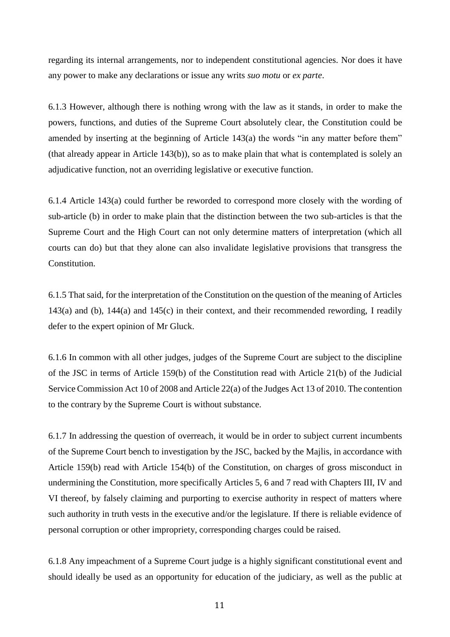regarding its internal arrangements, nor to independent constitutional agencies. Nor does it have any power to make any declarations or issue any writs *suo motu* or *ex parte*.

6.1.3 However, although there is nothing wrong with the law as it stands, in order to make the powers, functions, and duties of the Supreme Court absolutely clear, the Constitution could be amended by inserting at the beginning of Article 143(a) the words "in any matter before them" (that already appear in Article 143(b)), so as to make plain that what is contemplated is solely an adjudicative function, not an overriding legislative or executive function.

6.1.4 Article 143(a) could further be reworded to correspond more closely with the wording of sub-article (b) in order to make plain that the distinction between the two sub-articles is that the Supreme Court and the High Court can not only determine matters of interpretation (which all courts can do) but that they alone can also invalidate legislative provisions that transgress the Constitution.

6.1.5 That said, for the interpretation of the Constitution on the question of the meaning of Articles 143(a) and (b), 144(a) and 145(c) in their context, and their recommended rewording, I readily defer to the expert opinion of Mr Gluck.

6.1.6 In common with all other judges, judges of the Supreme Court are subject to the discipline of the JSC in terms of Article 159(b) of the Constitution read with Article 21(b) of the Judicial Service Commission Act 10 of 2008 and Article 22(a) of the Judges Act 13 of 2010. The contention to the contrary by the Supreme Court is without substance.

6.1.7 In addressing the question of overreach, it would be in order to subject current incumbents of the Supreme Court bench to investigation by the JSC, backed by the Majlis, in accordance with Article 159(b) read with Article 154(b) of the Constitution, on charges of gross misconduct in undermining the Constitution, more specifically Articles 5, 6 and 7 read with Chapters III, IV and VI thereof, by falsely claiming and purporting to exercise authority in respect of matters where such authority in truth vests in the executive and/or the legislature. If there is reliable evidence of personal corruption or other impropriety, corresponding charges could be raised.

6.1.8 Any impeachment of a Supreme Court judge is a highly significant constitutional event and should ideally be used as an opportunity for education of the judiciary, as well as the public at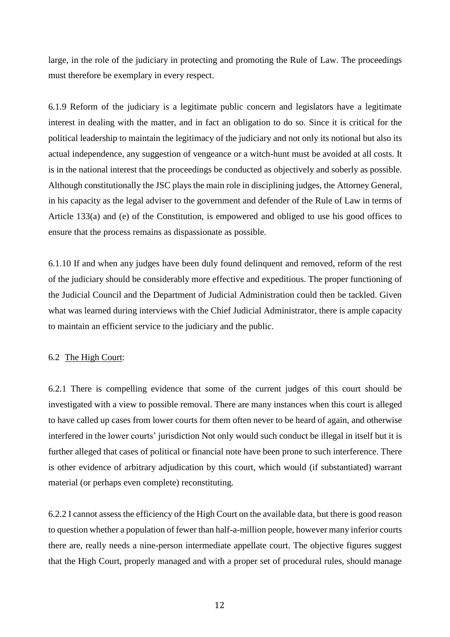large, in the role of the judiciary in protecting and promoting the Rule of Law. The proceedings must therefore be exemplary in every respect.

6.1.9 Reform of the judiciary is a legitimate public concern and legislators have a legitimate interest in dealing with the matter, and in fact an obligation to do so. Since it is critical for the political leadership to maintain the legitimacy of the judiciary and not only its notional but also its actual independence, any suggestion of vengeance or a witch-hunt must be avoided at all costs. It is in the national interest that the proceedings be conducted as objectively and soberly as possible. Although constitutionally the JSC plays the main role in disciplining judges, the Attorney General, in his capacity as the legal adviser to the government and defender of the Rule of Law in terms of Article 133(a) and (e) of the Constitution, is empowered and obliged to use his good offices to ensure that the process remains as dispassionate as possible.

6.1.10 If and when any judges have been duly found delinquent and removed, reform of the rest of the judiciary should be considerably more effective and expeditious. The proper functioning of the Judicial Council and the Department of Judicial Administration could then be tackled. Given what was learned during interviews with the Chief Judicial Administrator, there is ample capacity to maintain an efficient service to the judiciary and the public.

#### 6.2 The High Court:

6.2.1 There is compelling evidence that some of the current judges of this court should be investigated with a view to possible removal. There are many instances when this court is alleged to have called up cases from lower courts for them often never to be heard of again, and otherwise interfered in the lower courts' jurisdiction Not only would such conduct be illegal in itself but it is further alleged that cases of political or financial note have been prone to such interference. There is other evidence of arbitrary adjudication by this court, which would (if substantiated) warrant material (or perhaps even complete) reconstituting.

6.2.2 I cannot assess the efficiency of the High Court on the available data, but there is good reason to question whether a population of fewer than half-a-million people, however many inferior courts there are, really needs a nine-person intermediate appellate court. The objective figures suggest that the High Court, properly managed and with a proper set of procedural rules, should manage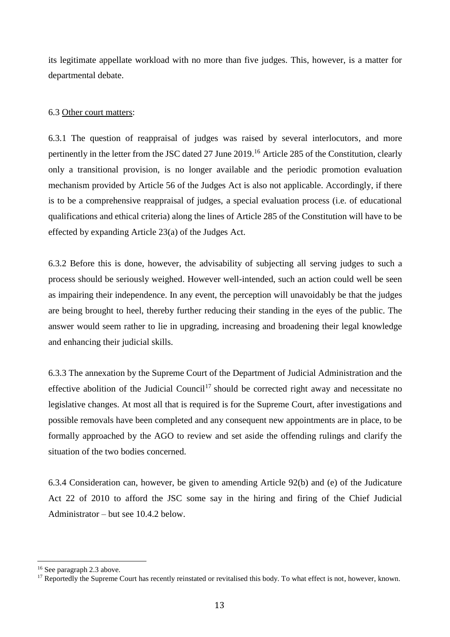its legitimate appellate workload with no more than five judges. This, however, is a matter for departmental debate.

# 6.3 Other court matters:

6.3.1 The question of reappraisal of judges was raised by several interlocutors, and more pertinently in the letter from the JSC dated 27 June 2019. <sup>16</sup> Article 285 of the Constitution, clearly only a transitional provision, is no longer available and the periodic promotion evaluation mechanism provided by Article 56 of the Judges Act is also not applicable. Accordingly, if there is to be a comprehensive reappraisal of judges, a special evaluation process (i.e. of educational qualifications and ethical criteria) along the lines of Article 285 of the Constitution will have to be effected by expanding Article 23(a) of the Judges Act.

6.3.2 Before this is done, however, the advisability of subjecting all serving judges to such a process should be seriously weighed. However well-intended, such an action could well be seen as impairing their independence. In any event, the perception will unavoidably be that the judges are being brought to heel, thereby further reducing their standing in the eyes of the public. The answer would seem rather to lie in upgrading, increasing and broadening their legal knowledge and enhancing their judicial skills.

6.3.3 The annexation by the Supreme Court of the Department of Judicial Administration and the effective abolition of the Judicial Council<sup>17</sup> should be corrected right away and necessitate no legislative changes. At most all that is required is for the Supreme Court, after investigations and possible removals have been completed and any consequent new appointments are in place, to be formally approached by the AGO to review and set aside the offending rulings and clarify the situation of the two bodies concerned.

6.3.4 Consideration can, however, be given to amending Article 92(b) and (e) of the Judicature Act 22 of 2010 to afford the JSC some say in the hiring and firing of the Chief Judicial Administrator – but see 10.4.2 below.

<sup>16</sup> See paragraph 2.3 above.

<sup>&</sup>lt;sup>17</sup> Reportedly the Supreme Court has recently reinstated or revitalised this body. To what effect is not, however, known.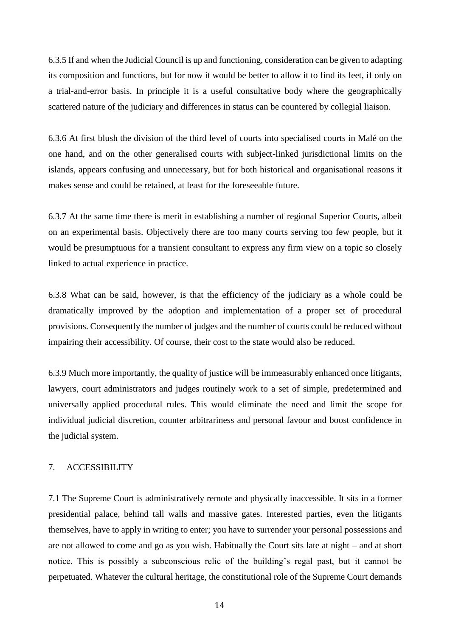6.3.5 If and when the Judicial Council is up and functioning, consideration can be given to adapting its composition and functions, but for now it would be better to allow it to find its feet, if only on a trial-and-error basis. In principle it is a useful consultative body where the geographically scattered nature of the judiciary and differences in status can be countered by collegial liaison.

6.3.6 At first blush the division of the third level of courts into specialised courts in Malé on the one hand, and on the other generalised courts with subject-linked jurisdictional limits on the islands, appears confusing and unnecessary, but for both historical and organisational reasons it makes sense and could be retained, at least for the foreseeable future.

6.3.7 At the same time there is merit in establishing a number of regional Superior Courts, albeit on an experimental basis. Objectively there are too many courts serving too few people, but it would be presumptuous for a transient consultant to express any firm view on a topic so closely linked to actual experience in practice.

6.3.8 What can be said, however, is that the efficiency of the judiciary as a whole could be dramatically improved by the adoption and implementation of a proper set of procedural provisions. Consequently the number of judges and the number of courts could be reduced without impairing their accessibility. Of course, their cost to the state would also be reduced.

6.3.9 Much more importantly, the quality of justice will be immeasurably enhanced once litigants, lawyers, court administrators and judges routinely work to a set of simple, predetermined and universally applied procedural rules. This would eliminate the need and limit the scope for individual judicial discretion, counter arbitrariness and personal favour and boost confidence in the judicial system.

## 7. ACCESSIBILITY

7.1 The Supreme Court is administratively remote and physically inaccessible. It sits in a former presidential palace, behind tall walls and massive gates. Interested parties, even the litigants themselves, have to apply in writing to enter; you have to surrender your personal possessions and are not allowed to come and go as you wish. Habitually the Court sits late at night – and at short notice. This is possibly a subconscious relic of the building's regal past, but it cannot be perpetuated. Whatever the cultural heritage, the constitutional role of the Supreme Court demands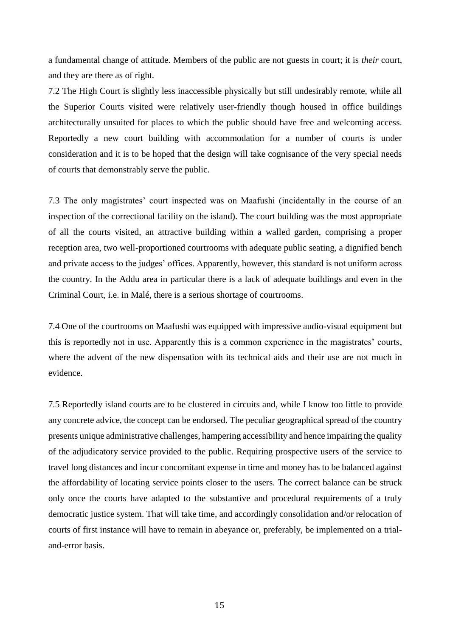a fundamental change of attitude. Members of the public are not guests in court; it is *their* court, and they are there as of right.

7.2 The High Court is slightly less inaccessible physically but still undesirably remote, while all the Superior Courts visited were relatively user-friendly though housed in office buildings architecturally unsuited for places to which the public should have free and welcoming access. Reportedly a new court building with accommodation for a number of courts is under consideration and it is to be hoped that the design will take cognisance of the very special needs of courts that demonstrably serve the public.

7.3 The only magistrates' court inspected was on Maafushi (incidentally in the course of an inspection of the correctional facility on the island). The court building was the most appropriate of all the courts visited, an attractive building within a walled garden, comprising a proper reception area, two well-proportioned courtrooms with adequate public seating, a dignified bench and private access to the judges' offices. Apparently, however, this standard is not uniform across the country. In the Addu area in particular there is a lack of adequate buildings and even in the Criminal Court, i.e. in Malé, there is a serious shortage of courtrooms.

7.4 One of the courtrooms on Maafushi was equipped with impressive audio-visual equipment but this is reportedly not in use. Apparently this is a common experience in the magistrates' courts, where the advent of the new dispensation with its technical aids and their use are not much in evidence.

7.5 Reportedly island courts are to be clustered in circuits and, while I know too little to provide any concrete advice, the concept can be endorsed. The peculiar geographical spread of the country presents unique administrative challenges, hampering accessibility and hence impairing the quality of the adjudicatory service provided to the public. Requiring prospective users of the service to travel long distances and incur concomitant expense in time and money has to be balanced against the affordability of locating service points closer to the users. The correct balance can be struck only once the courts have adapted to the substantive and procedural requirements of a truly democratic justice system. That will take time, and accordingly consolidation and/or relocation of courts of first instance will have to remain in abeyance or, preferably, be implemented on a trialand-error basis.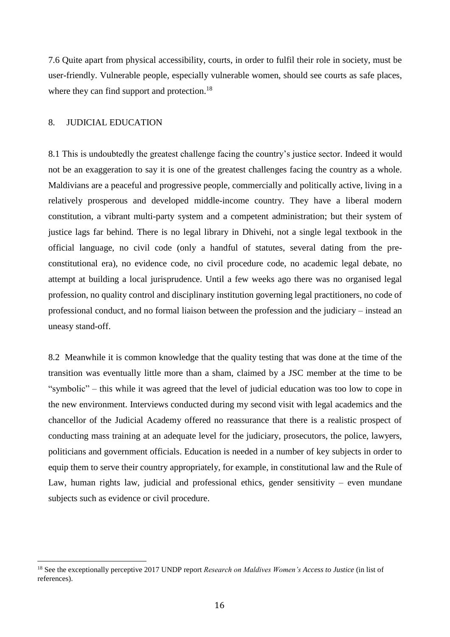7.6 Quite apart from physical accessibility, courts, in order to fulfil their role in society, must be user-friendly. Vulnerable people, especially vulnerable women, should see courts as safe places, where they can find support and protection.<sup>18</sup>

#### 8. JUDICIAL EDUCATION

 $\overline{a}$ 

8.1 This is undoubtedly the greatest challenge facing the country's justice sector. Indeed it would not be an exaggeration to say it is one of the greatest challenges facing the country as a whole. Maldivians are a peaceful and progressive people, commercially and politically active, living in a relatively prosperous and developed middle-income country. They have a liberal modern constitution, a vibrant multi-party system and a competent administration; but their system of justice lags far behind. There is no legal library in Dhivehi, not a single legal textbook in the official language, no civil code (only a handful of statutes, several dating from the preconstitutional era), no evidence code, no civil procedure code, no academic legal debate, no attempt at building a local jurisprudence. Until a few weeks ago there was no organised legal profession, no quality control and disciplinary institution governing legal practitioners, no code of professional conduct, and no formal liaison between the profession and the judiciary – instead an uneasy stand-off.

8.2 Meanwhile it is common knowledge that the quality testing that was done at the time of the transition was eventually little more than a sham, claimed by a JSC member at the time to be "symbolic" – this while it was agreed that the level of judicial education was too low to cope in the new environment. Interviews conducted during my second visit with legal academics and the chancellor of the Judicial Academy offered no reassurance that there is a realistic prospect of conducting mass training at an adequate level for the judiciary, prosecutors, the police, lawyers, politicians and government officials. Education is needed in a number of key subjects in order to equip them to serve their country appropriately, for example, in constitutional law and the Rule of Law, human rights law, judicial and professional ethics, gender sensitivity – even mundane subjects such as evidence or civil procedure.

<sup>18</sup> See the exceptionally perceptive 2017 UNDP report *Research on Maldives Women's Access to Justice* (in list of references).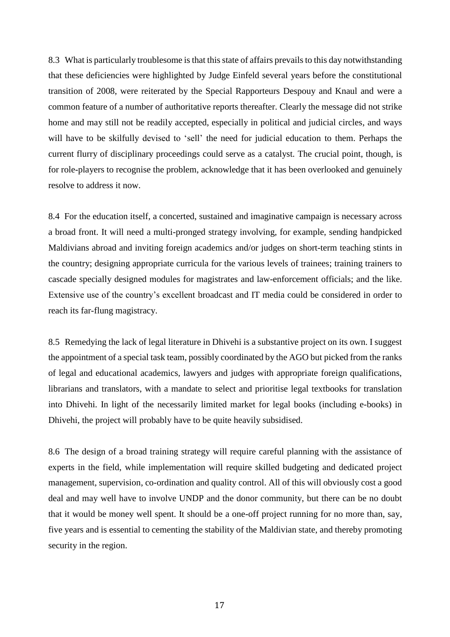8.3 What is particularly troublesome is that this state of affairs prevails to this day notwithstanding that these deficiencies were highlighted by Judge Einfeld several years before the constitutional transition of 2008, were reiterated by the Special Rapporteurs Despouy and Knaul and were a common feature of a number of authoritative reports thereafter. Clearly the message did not strike home and may still not be readily accepted, especially in political and judicial circles, and ways will have to be skilfully devised to 'sell' the need for judicial education to them. Perhaps the current flurry of disciplinary proceedings could serve as a catalyst. The crucial point, though, is for role-players to recognise the problem, acknowledge that it has been overlooked and genuinely resolve to address it now.

8.4 For the education itself, a concerted, sustained and imaginative campaign is necessary across a broad front. It will need a multi-pronged strategy involving, for example, sending handpicked Maldivians abroad and inviting foreign academics and/or judges on short-term teaching stints in the country; designing appropriate curricula for the various levels of trainees; training trainers to cascade specially designed modules for magistrates and law-enforcement officials; and the like. Extensive use of the country's excellent broadcast and IT media could be considered in order to reach its far-flung magistracy.

8.5 Remedying the lack of legal literature in Dhivehi is a substantive project on its own. I suggest the appointment of a special task team, possibly coordinated by the AGO but picked from the ranks of legal and educational academics, lawyers and judges with appropriate foreign qualifications, librarians and translators, with a mandate to select and prioritise legal textbooks for translation into Dhivehi. In light of the necessarily limited market for legal books (including e-books) in Dhivehi, the project will probably have to be quite heavily subsidised.

8.6 The design of a broad training strategy will require careful planning with the assistance of experts in the field, while implementation will require skilled budgeting and dedicated project management, supervision, co-ordination and quality control. All of this will obviously cost a good deal and may well have to involve UNDP and the donor community, but there can be no doubt that it would be money well spent. It should be a one-off project running for no more than, say, five years and is essential to cementing the stability of the Maldivian state, and thereby promoting security in the region.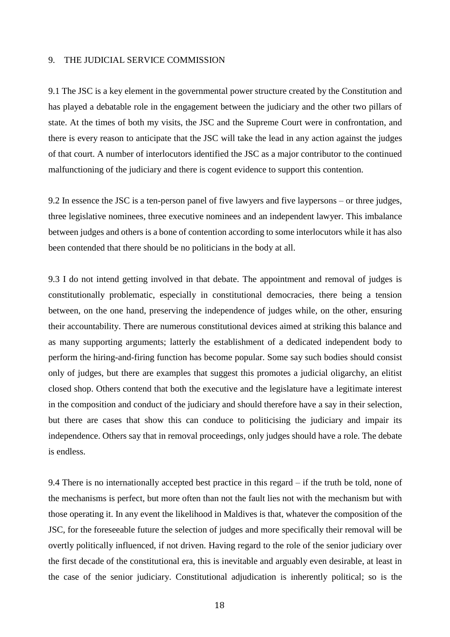#### 9. THE JUDICIAL SERVICE COMMISSION

9.1 The JSC is a key element in the governmental power structure created by the Constitution and has played a debatable role in the engagement between the judiciary and the other two pillars of state. At the times of both my visits, the JSC and the Supreme Court were in confrontation, and there is every reason to anticipate that the JSC will take the lead in any action against the judges of that court. A number of interlocutors identified the JSC as a major contributor to the continued malfunctioning of the judiciary and there is cogent evidence to support this contention.

9.2 In essence the JSC is a ten-person panel of five lawyers and five laypersons – or three judges, three legislative nominees, three executive nominees and an independent lawyer. This imbalance between judges and others is a bone of contention according to some interlocutors while it has also been contended that there should be no politicians in the body at all.

9.3 I do not intend getting involved in that debate. The appointment and removal of judges is constitutionally problematic, especially in constitutional democracies, there being a tension between, on the one hand, preserving the independence of judges while, on the other, ensuring their accountability. There are numerous constitutional devices aimed at striking this balance and as many supporting arguments; latterly the establishment of a dedicated independent body to perform the hiring-and-firing function has become popular. Some say such bodies should consist only of judges, but there are examples that suggest this promotes a judicial oligarchy, an elitist closed shop. Others contend that both the executive and the legislature have a legitimate interest in the composition and conduct of the judiciary and should therefore have a say in their selection, but there are cases that show this can conduce to politicising the judiciary and impair its independence. Others say that in removal proceedings, only judges should have a role. The debate is endless.

9.4 There is no internationally accepted best practice in this regard – if the truth be told, none of the mechanisms is perfect, but more often than not the fault lies not with the mechanism but with those operating it. In any event the likelihood in Maldives is that, whatever the composition of the JSC, for the foreseeable future the selection of judges and more specifically their removal will be overtly politically influenced, if not driven. Having regard to the role of the senior judiciary over the first decade of the constitutional era, this is inevitable and arguably even desirable, at least in the case of the senior judiciary. Constitutional adjudication is inherently political; so is the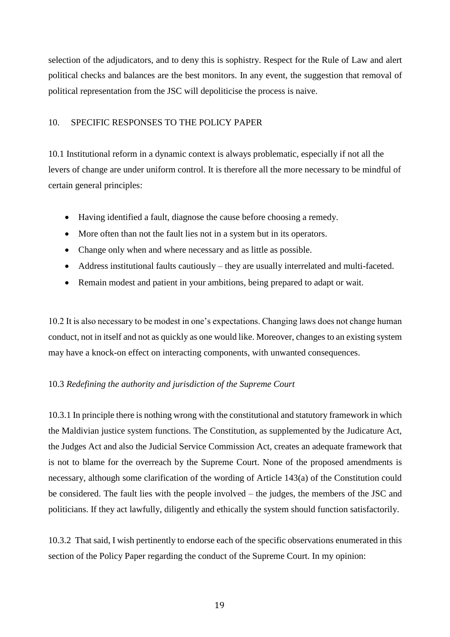selection of the adjudicators, and to deny this is sophistry. Respect for the Rule of Law and alert political checks and balances are the best monitors. In any event, the suggestion that removal of political representation from the JSC will depoliticise the process is naive.

#### 10. SPECIFIC RESPONSES TO THE POLICY PAPER

10.1 Institutional reform in a dynamic context is always problematic, especially if not all the levers of change are under uniform control. It is therefore all the more necessary to be mindful of certain general principles:

- Having identified a fault, diagnose the cause before choosing a remedy.
- More often than not the fault lies not in a system but in its operators.
- Change only when and where necessary and as little as possible.
- Address institutional faults cautiously they are usually interrelated and multi-faceted.
- Remain modest and patient in your ambitions, being prepared to adapt or wait.

10.2 It is also necessary to be modest in one's expectations. Changing laws does not change human conduct, not in itself and not as quickly as one would like. Moreover, changes to an existing system may have a knock-on effect on interacting components, with unwanted consequences.

#### 10.3 *Redefining the authority and jurisdiction of the Supreme Court*

10.3.1 In principle there is nothing wrong with the constitutional and statutory framework in which the Maldivian justice system functions. The Constitution, as supplemented by the Judicature Act, the Judges Act and also the Judicial Service Commission Act, creates an adequate framework that is not to blame for the overreach by the Supreme Court. None of the proposed amendments is necessary, although some clarification of the wording of Article 143(a) of the Constitution could be considered. The fault lies with the people involved – the judges, the members of the JSC and politicians. If they act lawfully, diligently and ethically the system should function satisfactorily.

10.3.2 That said, I wish pertinently to endorse each of the specific observations enumerated in this section of the Policy Paper regarding the conduct of the Supreme Court. In my opinion: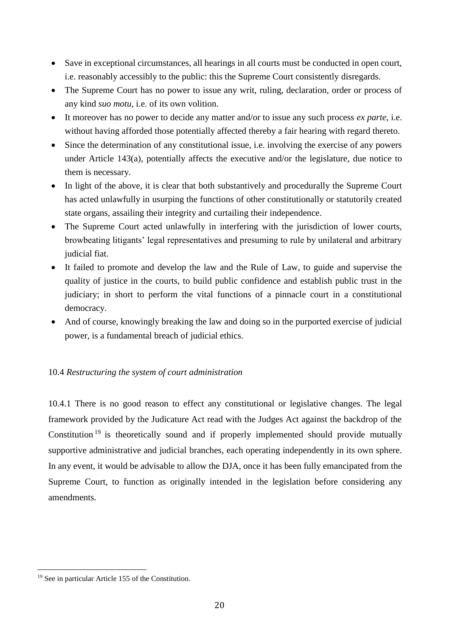- Save in exceptional circumstances, all hearings in all courts must be conducted in open court, i.e. reasonably accessibly to the public: this the Supreme Court consistently disregards.
- The Supreme Court has no power to issue any writ, ruling, declaration, order or process of any kind *suo motu*, i.e. of its own volition.
- It moreover has no power to decide any matter and/or to issue any such process *ex parte*, i.e. without having afforded those potentially affected thereby a fair hearing with regard thereto.
- Since the determination of any constitutional issue, i.e. involving the exercise of any powers under Article 143(a), potentially affects the executive and/or the legislature, due notice to them is necessary.
- In light of the above, it is clear that both substantively and procedurally the Supreme Court has acted unlawfully in usurping the functions of other constitutionally or statutorily created state organs, assailing their integrity and curtailing their independence.
- The Supreme Court acted unlawfully in interfering with the jurisdiction of lower courts, browbeating litigants' legal representatives and presuming to rule by unilateral and arbitrary judicial fiat.
- It failed to promote and develop the law and the Rule of Law, to guide and supervise the quality of justice in the courts, to build public confidence and establish public trust in the judiciary; in short to perform the vital functions of a pinnacle court in a constitutional democracy.
- And of course, knowingly breaking the law and doing so in the purported exercise of judicial power, is a fundamental breach of judicial ethics.

# 10.4 *Restructuring the system of court administration*

10.4.1 There is no good reason to effect any constitutional or legislative changes. The legal framework provided by the Judicature Act read with the Judges Act against the backdrop of the Constitution<sup>19</sup> is theoretically sound and if properly implemented should provide mutually supportive administrative and judicial branches, each operating independently in its own sphere. In any event, it would be advisable to allow the DJA, once it has been fully emancipated from the Supreme Court, to function as originally intended in the legislation before considering any amendments.

<sup>19</sup> See in particular Article 155 of the Constitution.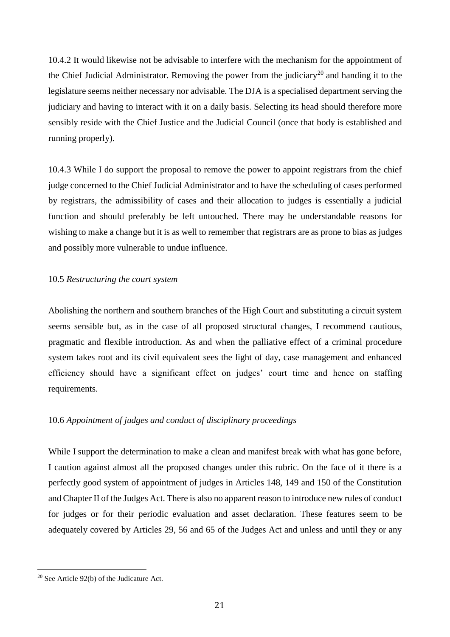10.4.2 It would likewise not be advisable to interfere with the mechanism for the appointment of the Chief Judicial Administrator. Removing the power from the judiciary<sup>20</sup> and handing it to the legislature seems neither necessary nor advisable. The DJA is a specialised department serving the judiciary and having to interact with it on a daily basis. Selecting its head should therefore more sensibly reside with the Chief Justice and the Judicial Council (once that body is established and running properly).

10.4.3 While I do support the proposal to remove the power to appoint registrars from the chief judge concerned to the Chief Judicial Administrator and to have the scheduling of cases performed by registrars, the admissibility of cases and their allocation to judges is essentially a judicial function and should preferably be left untouched. There may be understandable reasons for wishing to make a change but it is as well to remember that registrars are as prone to bias as judges and possibly more vulnerable to undue influence.

#### 10.5 *Restructuring the court system*

Abolishing the northern and southern branches of the High Court and substituting a circuit system seems sensible but, as in the case of all proposed structural changes, I recommend cautious, pragmatic and flexible introduction. As and when the palliative effect of a criminal procedure system takes root and its civil equivalent sees the light of day, case management and enhanced efficiency should have a significant effect on judges' court time and hence on staffing requirements.

# 10.6 *Appointment of judges and conduct of disciplinary proceedings*

While I support the determination to make a clean and manifest break with what has gone before, I caution against almost all the proposed changes under this rubric. On the face of it there is a perfectly good system of appointment of judges in Articles 148, 149 and 150 of the Constitution and Chapter II of the Judges Act. There is also no apparent reason to introduce new rules of conduct for judges or for their periodic evaluation and asset declaration. These features seem to be adequately covered by Articles 29, 56 and 65 of the Judges Act and unless and until they or any

<sup>20</sup> See Article 92(b) of the Judicature Act.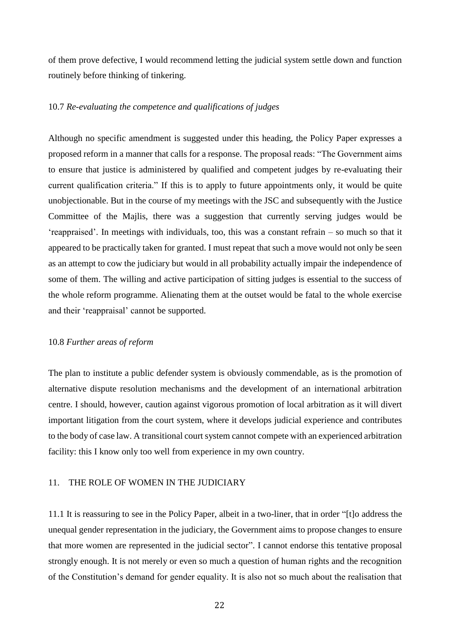of them prove defective, I would recommend letting the judicial system settle down and function routinely before thinking of tinkering.

#### 10.7 *Re-evaluating the competence and qualifications of judges*

Although no specific amendment is suggested under this heading, the Policy Paper expresses a proposed reform in a manner that calls for a response. The proposal reads: "The Government aims to ensure that justice is administered by qualified and competent judges by re-evaluating their current qualification criteria." If this is to apply to future appointments only, it would be quite unobjectionable. But in the course of my meetings with the JSC and subsequently with the Justice Committee of the Majlis, there was a suggestion that currently serving judges would be 'reappraised'. In meetings with individuals, too, this was a constant refrain – so much so that it appeared to be practically taken for granted. I must repeat that such a move would not only be seen as an attempt to cow the judiciary but would in all probability actually impair the independence of some of them. The willing and active participation of sitting judges is essential to the success of the whole reform programme. Alienating them at the outset would be fatal to the whole exercise and their 'reappraisal' cannot be supported.

#### 10.8 *Further areas of reform*

The plan to institute a public defender system is obviously commendable, as is the promotion of alternative dispute resolution mechanisms and the development of an international arbitration centre. I should, however, caution against vigorous promotion of local arbitration as it will divert important litigation from the court system, where it develops judicial experience and contributes to the body of case law. A transitional court system cannot compete with an experienced arbitration facility: this I know only too well from experience in my own country.

#### 11. THE ROLE OF WOMEN IN THE JUDICIARY

11.1 It is reassuring to see in the Policy Paper, albeit in a two-liner, that in order "[t]o address the unequal gender representation in the judiciary, the Government aims to propose changes to ensure that more women are represented in the judicial sector". I cannot endorse this tentative proposal strongly enough. It is not merely or even so much a question of human rights and the recognition of the Constitution's demand for gender equality. It is also not so much about the realisation that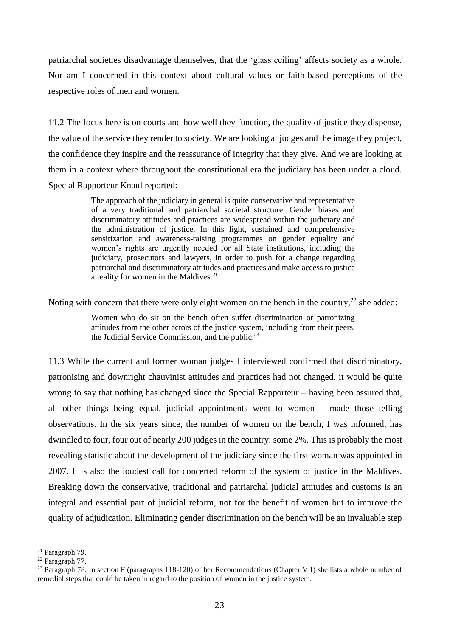patriarchal societies disadvantage themselves, that the 'glass ceiling' affects society as a whole. Nor am I concerned in this context about cultural values or faith-based perceptions of the respective roles of men and women.

11.2 The focus here is on courts and how well they function, the quality of justice they dispense, the value of the service they render to society. We are looking at judges and the image they project, the confidence they inspire and the reassurance of integrity that they give. And we are looking at them in a context where throughout the constitutional era the judiciary has been under a cloud. Special Rapporteur Knaul reported:

> The approach of the judiciary in general is quite conservative and representative of a very traditional and patriarchal societal structure. Gender biases and discriminatory attitudes and practices are widespread within the judiciary and the administration of justice. In this light, sustained and comprehensive sensitization and awareness-raising programmes on gender equality and women's rights are urgently needed for all State institutions, including the judiciary, prosecutors and lawyers, in order to push for a change regarding patriarchal and discriminatory attitudes and practices and make access to justice a reality for women in the Maldives.<sup>21</sup>

Noting with concern that there were only eight women on the bench in the country,<sup>22</sup> she added:

Women who do sit on the bench often suffer discrimination or patronizing attitudes from the other actors of the justice system, including from their peers, the Judicial Service Commission, and the public. $^{23}$ 

11.3 While the current and former woman judges I interviewed confirmed that discriminatory, patronising and downright chauvinist attitudes and practices had not changed, it would be quite wrong to say that nothing has changed since the Special Rapporteur – having been assured that, all other things being equal, judicial appointments went to women – made those telling observations. In the six years since, the number of women on the bench, I was informed, has dwindled to four, four out of nearly 200 judges in the country: some 2%. This is probably the most revealing statistic about the development of the judiciary since the first woman was appointed in 2007. It is also the loudest call for concerted reform of the system of justice in the Maldives. Breaking down the conservative, traditional and patriarchal judicial attitudes and customs is an integral and essential part of judicial reform, not for the benefit of women but to improve the quality of adjudication. Eliminating gender discrimination on the bench will be an invaluable step

<sup>21</sup> Paragraph 79.

<sup>22</sup> Paragraph 77.

<sup>23</sup> Paragraph 78. In section F (paragraphs 118-120) of her Recommendations (Chapter VII) she lists a whole number of remedial steps that could be taken in regard to the position of women in the justice system.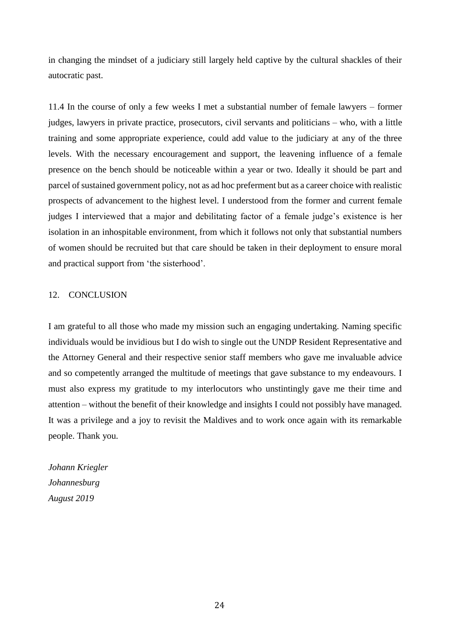in changing the mindset of a judiciary still largely held captive by the cultural shackles of their autocratic past.

11.4 In the course of only a few weeks I met a substantial number of female lawyers – former judges, lawyers in private practice, prosecutors, civil servants and politicians – who, with a little training and some appropriate experience, could add value to the judiciary at any of the three levels. With the necessary encouragement and support, the leavening influence of a female presence on the bench should be noticeable within a year or two. Ideally it should be part and parcel of sustained government policy, not as ad hoc preferment but as a career choice with realistic prospects of advancement to the highest level. I understood from the former and current female judges I interviewed that a major and debilitating factor of a female judge's existence is her isolation in an inhospitable environment, from which it follows not only that substantial numbers of women should be recruited but that care should be taken in their deployment to ensure moral and practical support from 'the sisterhood'.

#### 12. CONCLUSION

I am grateful to all those who made my mission such an engaging undertaking. Naming specific individuals would be invidious but I do wish to single out the UNDP Resident Representative and the Attorney General and their respective senior staff members who gave me invaluable advice and so competently arranged the multitude of meetings that gave substance to my endeavours. I must also express my gratitude to my interlocutors who unstintingly gave me their time and attention – without the benefit of their knowledge and insights I could not possibly have managed. It was a privilege and a joy to revisit the Maldives and to work once again with its remarkable people. Thank you.

*Johann Kriegler Johannesburg August 2019*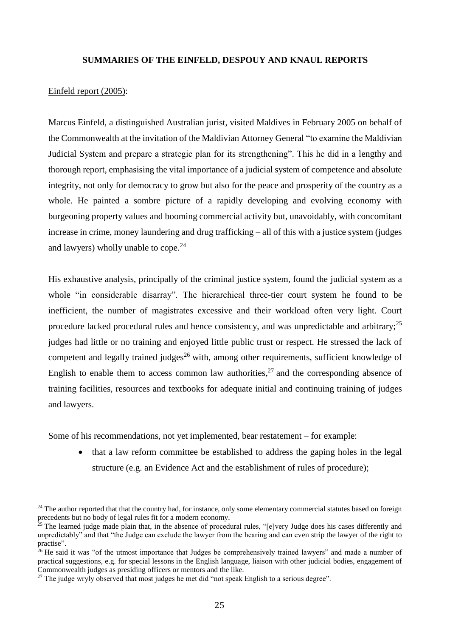#### **SUMMARIES OF THE EINFELD, DESPOUY AND KNAUL REPORTS**

#### Einfeld report (2005):

 $\overline{a}$ 

Marcus Einfeld, a distinguished Australian jurist, visited Maldives in February 2005 on behalf of the Commonwealth at the invitation of the Maldivian Attorney General "to examine the Maldivian Judicial System and prepare a strategic plan for its strengthening". This he did in a lengthy and thorough report, emphasising the vital importance of a judicial system of competence and absolute integrity, not only for democracy to grow but also for the peace and prosperity of the country as a whole. He painted a sombre picture of a rapidly developing and evolving economy with burgeoning property values and booming commercial activity but, unavoidably, with concomitant increase in crime, money laundering and drug trafficking – all of this with a justice system (judges and lawyers) wholly unable to cope. $24$ 

His exhaustive analysis, principally of the criminal justice system, found the judicial system as a whole "in considerable disarray". The hierarchical three-tier court system he found to be inefficient, the number of magistrates excessive and their workload often very light. Court procedure lacked procedural rules and hence consistency, and was unpredictable and arbitrary; $^{25}$ judges had little or no training and enjoyed little public trust or respect. He stressed the lack of competent and legally trained judges<sup>26</sup> with, among other requirements, sufficient knowledge of English to enable them to access common law authorities, $27$  and the corresponding absence of training facilities, resources and textbooks for adequate initial and continuing training of judges and lawyers.

Some of his recommendations, not yet implemented, bear restatement – for example:

• that a law reform committee be established to address the gaping holes in the legal structure (e.g. an Evidence Act and the establishment of rules of procedure);

<sup>&</sup>lt;sup>24</sup> The author reported that that the country had, for instance, only some elementary commercial statutes based on foreign precedents but no body of legal rules fit for a modern economy.

 $25$  The learned judge made plain that, in the absence of procedural rules, "[e]very Judge does his cases differently and unpredictably" and that "the Judge can exclude the lawyer from the hearing and can even strip the lawyer of the right to practise".

<sup>&</sup>lt;sup>26</sup> He said it was "of the utmost importance that Judges be comprehensively trained lawyers" and made a number of practical suggestions, e.g. for special lessons in the English language, liaison with other judicial bodies, engagement of Commonwealth judges as presiding officers or mentors and the like.

 $27$  The judge wryly observed that most judges he met did "not speak English to a serious degree".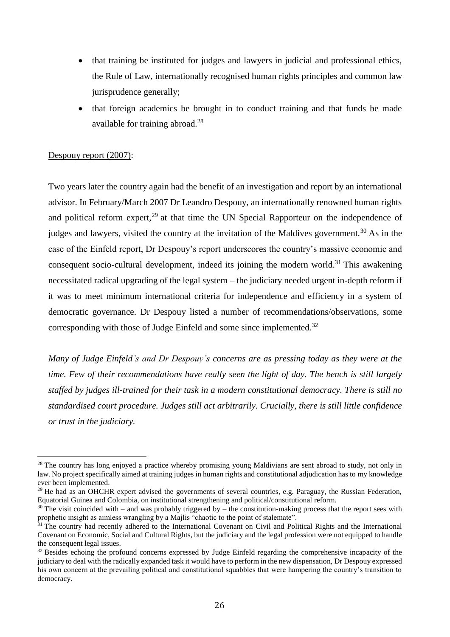- that training be instituted for judges and lawyers in judicial and professional ethics, the Rule of Law, internationally recognised human rights principles and common law jurisprudence generally;
- that foreign academics be brought in to conduct training and that funds be made available for training abroad. 28

#### Despouy report (2007):

 $\overline{a}$ 

Two years later the country again had the benefit of an investigation and report by an international advisor. In February/March 2007 Dr Leandro Despouy, an internationally renowned human rights and political reform expert, $^{29}$  at that time the UN Special Rapporteur on the independence of judges and lawyers, visited the country at the invitation of the Maldives government.<sup>30</sup> As in the case of the Einfeld report, Dr Despouy's report underscores the country's massive economic and consequent socio-cultural development, indeed its joining the modern world.<sup>31</sup> This awakening necessitated radical upgrading of the legal system – the judiciary needed urgent in-depth reform if it was to meet minimum international criteria for independence and efficiency in a system of democratic governance. Dr Despouy listed a number of recommendations/observations, some corresponding with those of Judge Einfeld and some since implemented.<sup>32</sup>

*Many of Judge Einfeld's and Dr Despouy's concerns are as pressing today as they were at the time. Few of their recommendations have really seen the light of day. The bench is still largely staffed by judges ill-trained for their task in a modern constitutional democracy. There is still no standardised court procedure. Judges still act arbitrarily. Crucially, there is still little confidence or trust in the judiciary.*

 $2<sup>8</sup>$  The country has long enjoyed a practice whereby promising young Maldivians are sent abroad to study, not only in law. No project specifically aimed at training judges in human rights and constitutional adjudication has to my knowledge ever been implemented.

 $29$  He had as an OHCHR expert advised the governments of several countries, e.g. Paraguay, the Russian Federation, Equatorial Guinea and Colombia, on institutional strengthening and political/constitutional reform.

 $30$  The visit coincided with – and was probably triggered by – the constitution-making process that the report sees with prophetic insight as aimless wrangling by a Majlis "chaotic to the point of stalemate".

 $31$  The country had recently adhered to the International Covenant on Civil and Political Rights and the International Covenant on Economic, Social and Cultural Rights, but the judiciary and the legal profession were not equipped to handle the consequent legal issues.

<sup>&</sup>lt;sup>32</sup> Besides echoing the profound concerns expressed by Judge Einfeld regarding the comprehensive incapacity of the judiciary to deal with the radically expanded task it would have to perform in the new dispensation, Dr Despouy expressed his own concern at the prevailing political and constitutional squabbles that were hampering the country's transition to democracy.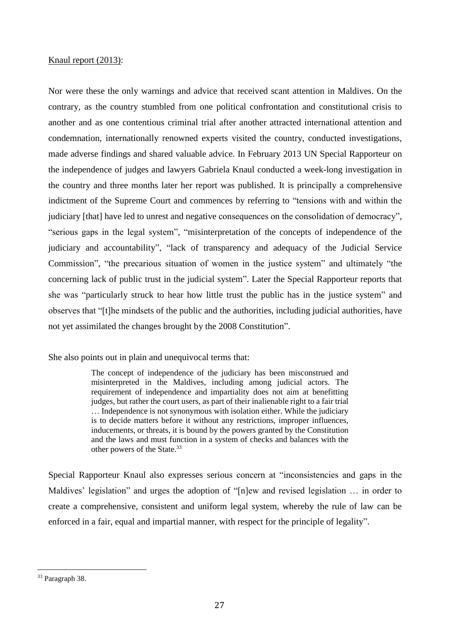#### Knaul report (2013):

Nor were these the only warnings and advice that received scant attention in Maldives. On the contrary, as the country stumbled from one political confrontation and constitutional crisis to another and as one contentious criminal trial after another attracted international attention and condemnation, internationally renowned experts visited the country, conducted investigations, made adverse findings and shared valuable advice. In February 2013 UN Special Rapporteur on the independence of judges and lawyers Gabriela Knaul conducted a week-long investigation in the country and three months later her report was published. It is principally a comprehensive indictment of the Supreme Court and commences by referring to "tensions with and within the judiciary [that] have led to unrest and negative consequences on the consolidation of democracy", "serious gaps in the legal system", "misinterpretation of the concepts of independence of the judiciary and accountability", "lack of transparency and adequacy of the Judicial Service Commission", "the precarious situation of women in the justice system" and ultimately "the concerning lack of public trust in the judicial system". Later the Special Rapporteur reports that she was "particularly struck to hear how little trust the public has in the justice system" and observes that "[t]he mindsets of the public and the authorities, including judicial authorities, have not yet assimilated the changes brought by the 2008 Constitution".

She also points out in plain and unequivocal terms that:

The concept of independence of the judiciary has been misconstrued and misinterpreted in the Maldives, including among judicial actors. The requirement of independence and impartiality does not aim at benefitting judges, but rather the court users, as part of their inalienable right to a fair trial … Independence is not synonymous with isolation either. While the judiciary is to decide matters before it without any restrictions, improper influences, inducements, or threats, it is bound by the powers granted by the Constitution and the laws and must function in a system of checks and balances with the other powers of the State.<sup>33</sup>

Special Rapporteur Knaul also expresses serious concern at "inconsistencies and gaps in the Maldives' legislation" and urges the adoption of "[n]ew and revised legislation … in order to create a comprehensive, consistent and uniform legal system, whereby the rule of law can be enforced in a fair, equal and impartial manner, with respect for the principle of legality".

<sup>33</sup> Paragraph 38.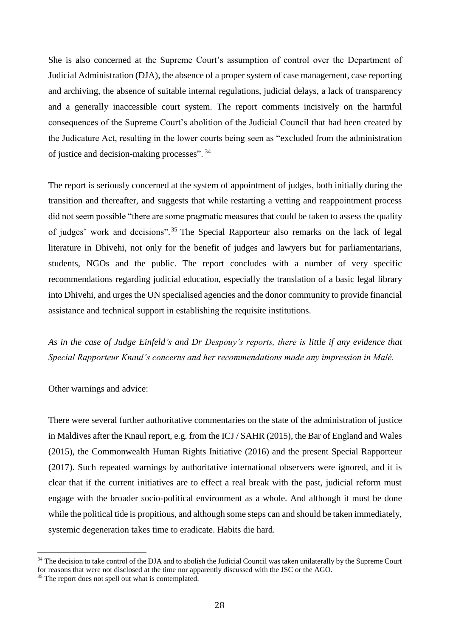She is also concerned at the Supreme Court's assumption of control over the Department of Judicial Administration (DJA), the absence of a proper system of case management, case reporting and archiving, the absence of suitable internal regulations, judicial delays, a lack of transparency and a generally inaccessible court system. The report comments incisively on the harmful consequences of the Supreme Court's abolition of the Judicial Council that had been created by the Judicature Act, resulting in the lower courts being seen as "excluded from the administration of justice and decision-making processes". <sup>34</sup>

The report is seriously concerned at the system of appointment of judges, both initially during the transition and thereafter, and suggests that while restarting a vetting and reappointment process did not seem possible "there are some pragmatic measures that could be taken to assess the quality of judges' work and decisions".<sup>35</sup> The Special Rapporteur also remarks on the lack of legal literature in Dhivehi, not only for the benefit of judges and lawyers but for parliamentarians, students, NGOs and the public. The report concludes with a number of very specific recommendations regarding judicial education, especially the translation of a basic legal library into Dhivehi, and urges the UN specialised agencies and the donor community to provide financial assistance and technical support in establishing the requisite institutions.

*As in the case of Judge Einfeld's and Dr Despouy's reports, there is little if any evidence that Special Rapporteur Knaul's concerns and her recommendations made any impression in Malé.* 

#### Other warnings and advice:

There were several further authoritative commentaries on the state of the administration of justice in Maldives after the Knaul report, e.g. from the ICJ / SAHR (2015), the Bar of England and Wales (2015), the Commonwealth Human Rights Initiative (2016) and the present Special Rapporteur (2017). Such repeated warnings by authoritative international observers were ignored, and it is clear that if the current initiatives are to effect a real break with the past, judicial reform must engage with the broader socio-political environment as a whole. And although it must be done while the political tide is propitious, and although some steps can and should be taken immediately, systemic degeneration takes time to eradicate. Habits die hard.

<sup>&</sup>lt;sup>34</sup> The decision to take control of the DJA and to abolish the Judicial Council was taken unilaterally by the Supreme Court for reasons that were not disclosed at the time nor apparently discussed with the JSC or the AGO.

<sup>&</sup>lt;sup>35</sup> The report does not spell out what is contemplated.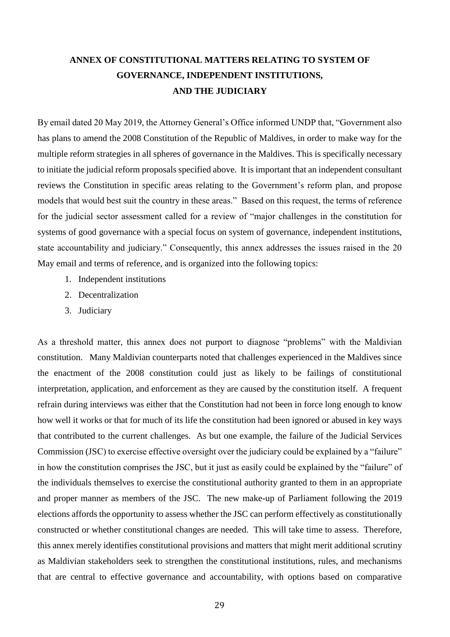# **ANNEX OF CONSTITUTIONAL MATTERS RELATING TO SYSTEM OF GOVERNANCE, INDEPENDENT INSTITUTIONS, AND THE JUDICIARY**

By email dated 20 May 2019, the Attorney General's Office informed UNDP that, "Government also has plans to amend the 2008 Constitution of the Republic of Maldives, in order to make way for the multiple reform strategies in all spheres of governance in the Maldives. This is specifically necessary to initiate the judicial reform proposals specified above. It is important that an independent consultant reviews the Constitution in specific areas relating to the Government's reform plan, and propose models that would best suit the country in these areas." Based on this request, the terms of reference for the judicial sector assessment called for a review of "major challenges in the constitution for systems of good governance with a special focus on system of governance, independent institutions, state accountability and judiciary." Consequently, this annex addresses the issues raised in the 20 May email and terms of reference, and is organized into the following topics:

- 1. Independent institutions
- 2. Decentralization
- 3. Judiciary

As a threshold matter, this annex does not purport to diagnose "problems" with the Maldivian constitution. Many Maldivian counterparts noted that challenges experienced in the Maldives since the enactment of the 2008 constitution could just as likely to be failings of constitutional interpretation, application, and enforcement as they are caused by the constitution itself. A frequent refrain during interviews was either that the Constitution had not been in force long enough to know how well it works or that for much of its life the constitution had been ignored or abused in key ways that contributed to the current challenges. As but one example, the failure of the Judicial Services Commission (JSC) to exercise effective oversight over the judiciary could be explained by a "failure" in how the constitution comprises the JSC, but it just as easily could be explained by the "failure" of the individuals themselves to exercise the constitutional authority granted to them in an appropriate and proper manner as members of the JSC. The new make-up of Parliament following the 2019 elections affords the opportunity to assess whether the JSC can perform effectively as constitutionally constructed or whether constitutional changes are needed. This will take time to assess. Therefore, this annex merely identifies constitutional provisions and matters that might merit additional scrutiny as Maldivian stakeholders seek to strengthen the constitutional institutions, rules, and mechanisms that are central to effective governance and accountability, with options based on comparative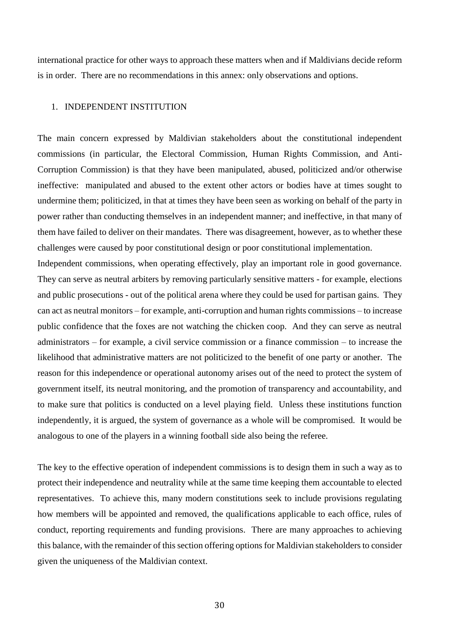international practice for other ways to approach these matters when and if Maldivians decide reform is in order. There are no recommendations in this annex: only observations and options.

## 1. INDEPENDENT INSTITUTION

The main concern expressed by Maldivian stakeholders about the constitutional independent commissions (in particular, the Electoral Commission, Human Rights Commission, and Anti-Corruption Commission) is that they have been manipulated, abused, politicized and/or otherwise ineffective: manipulated and abused to the extent other actors or bodies have at times sought to undermine them; politicized, in that at times they have been seen as working on behalf of the party in power rather than conducting themselves in an independent manner; and ineffective, in that many of them have failed to deliver on their mandates. There was disagreement, however, as to whether these challenges were caused by poor constitutional design or poor constitutional implementation.

Independent commissions, when operating effectively, play an important role in good governance. They can serve as neutral arbiters by removing particularly sensitive matters - for example, elections and public prosecutions - out of the political arena where they could be used for partisan gains. They can act as neutral monitors – for example, anti-corruption and human rights commissions – to increase public confidence that the foxes are not watching the chicken coop. And they can serve as neutral administrators – for example, a civil service commission or a finance commission – to increase the likelihood that administrative matters are not politicized to the benefit of one party or another. The reason for this independence or operational autonomy arises out of the need to protect the system of government itself, its neutral monitoring, and the promotion of transparency and accountability, and to make sure that politics is conducted on a level playing field. Unless these institutions function independently, it is argued, the system of governance as a whole will be compromised. It would be analogous to one of the players in a winning football side also being the referee.

The key to the effective operation of independent commissions is to design them in such a way as to protect their independence and neutrality while at the same time keeping them accountable to elected representatives. To achieve this, many modern constitutions seek to include provisions regulating how members will be appointed and removed, the qualifications applicable to each office, rules of conduct, reporting requirements and funding provisions. There are many approaches to achieving this balance, with the remainder of this section offering options for Maldivian stakeholders to consider given the uniqueness of the Maldivian context.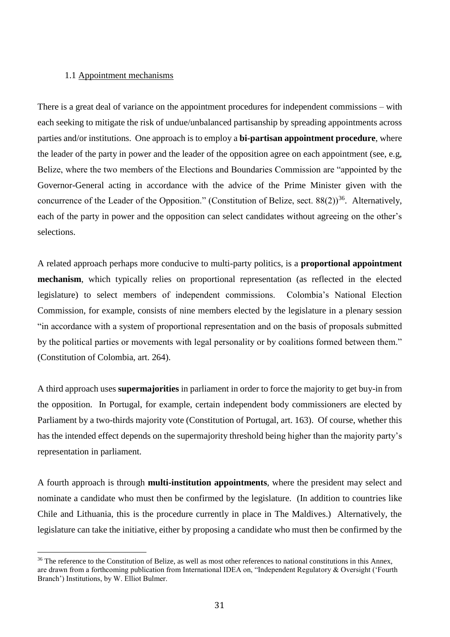#### 1.1 Appointment mechanisms

 $\overline{a}$ 

There is a great deal of variance on the appointment procedures for independent commissions – with each seeking to mitigate the risk of undue/unbalanced partisanship by spreading appointments across parties and/or institutions. One approach is to employ a **bi-partisan appointment procedure**, where the leader of the party in power and the leader of the opposition agree on each appointment (see, e.g, Belize, where the two members of the Elections and Boundaries Commission are "appointed by the Governor-General acting in accordance with the advice of the Prime Minister given with the concurrence of the Leader of the Opposition." (Constitution of Belize, sect.  $88(2)$ )<sup>36</sup>. Alternatively, each of the party in power and the opposition can select candidates without agreeing on the other's selections.

A related approach perhaps more conducive to multi-party politics, is a **proportional appointment mechanism**, which typically relies on proportional representation (as reflected in the elected legislature) to select members of independent commissions. Colombia's National Election Commission, for example, consists of nine members elected by the legislature in a plenary session "in accordance with a system of proportional representation and on the basis of proposals submitted by the political parties or movements with legal personality or by coalitions formed between them." (Constitution of Colombia, art. 264).

A third approach uses **supermajorities** in parliament in order to force the majority to get buy-in from the opposition. In Portugal, for example, certain independent body commissioners are elected by Parliament by a two-thirds majority vote (Constitution of Portugal, art. 163). Of course, whether this has the intended effect depends on the supermajority threshold being higher than the majority party's representation in parliament.

A fourth approach is through **multi-institution appointments**, where the president may select and nominate a candidate who must then be confirmed by the legislature. (In addition to countries like Chile and Lithuania, this is the procedure currently in place in The Maldives.) Alternatively, the legislature can take the initiative, either by proposing a candidate who must then be confirmed by the

 $36$  The reference to the Constitution of Belize, as well as most other references to national constitutions in this Annex. are drawn from a forthcoming publication from International IDEA on, "Independent Regulatory & Oversight ('Fourth Branch') Institutions, by W. Elliot Bulmer.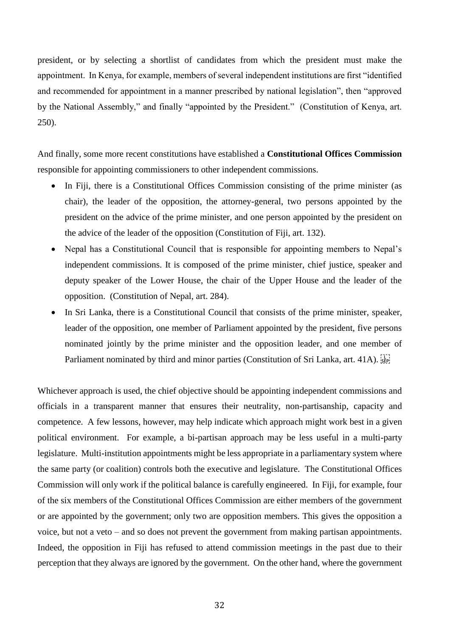president, or by selecting a shortlist of candidates from which the president must make the appointment. In Kenya, for example, members of several independent institutions are first "identified and recommended for appointment in a manner prescribed by national legislation", then "approved by the National Assembly," and finally "appointed by the President." (Constitution of Kenya, art. 250).

And finally, some more recent constitutions have established a **Constitutional Offices Commission** responsible for appointing commissioners to other independent commissions.

- In Fiji, there is a Constitutional Offices Commission consisting of the prime minister (as chair), the leader of the opposition, the attorney-general, two persons appointed by the president on the advice of the prime minister, and one person appointed by the president on the advice of the leader of the opposition (Constitution of Fiji, art. 132).
- Nepal has a Constitutional Council that is responsible for appointing members to Nepal's independent commissions. It is composed of the prime minister, chief justice, speaker and deputy speaker of the Lower House, the chair of the Upper House and the leader of the opposition. (Constitution of Nepal, art. 284).
- In Sri Lanka, there is a Constitutional Council that consists of the prime minister, speaker, leader of the opposition, one member of Parliament appointed by the president, five persons nominated jointly by the prime minister and the opposition leader, and one member of Parliament nominated by third and minor parties (Constitution of Sri Lanka, art. 41A).

Whichever approach is used, the chief objective should be appointing independent commissions and officials in a transparent manner that ensures their neutrality, non-partisanship, capacity and competence. A few lessons, however, may help indicate which approach might work best in a given political environment. For example, a bi-partisan approach may be less useful in a multi-party legislature. Multi-institution appointments might be less appropriate in a parliamentary system where the same party (or coalition) controls both the executive and legislature. The Constitutional Offices Commission will only work if the political balance is carefully engineered. In Fiji, for example, four of the six members of the Constitutional Offices Commission are either members of the government or are appointed by the government; only two are opposition members. This gives the opposition a voice, but not a veto – and so does not prevent the government from making partisan appointments. Indeed, the opposition in Fiji has refused to attend commission meetings in the past due to their perception that they always are ignored by the government. On the other hand, where the government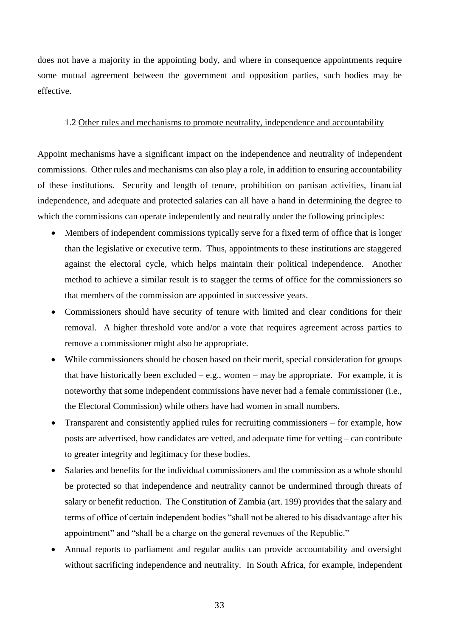does not have a majority in the appointing body, and where in consequence appointments require some mutual agreement between the government and opposition parties, such bodies may be effective.

# 1.2 Other rules and mechanisms to promote neutrality, independence and accountability

Appoint mechanisms have a significant impact on the independence and neutrality of independent commissions. Other rules and mechanisms can also play a role, in addition to ensuring accountability of these institutions. Security and length of tenure, prohibition on partisan activities, financial independence, and adequate and protected salaries can all have a hand in determining the degree to which the commissions can operate independently and neutrally under the following principles:

- Members of independent commissions typically serve for a fixed term of office that is longer than the legislative or executive term. Thus, appointments to these institutions are staggered against the electoral cycle, which helps maintain their political independence. Another method to achieve a similar result is to stagger the terms of office for the commissioners so that members of the commission are appointed in successive years.
- Commissioners should have security of tenure with limited and clear conditions for their removal. A higher threshold vote and/or a vote that requires agreement across parties to remove a commissioner might also be appropriate.
- While commissioners should be chosen based on their merit, special consideration for groups that have historically been excluded  $-$  e.g., women  $-$  may be appropriate. For example, it is noteworthy that some independent commissions have never had a female commissioner (i.e., the Electoral Commission) while others have had women in small numbers.
- Transparent and consistently applied rules for recruiting commissioners for example, how posts are advertised, how candidates are vetted, and adequate time for vetting – can contribute to greater integrity and legitimacy for these bodies.
- Salaries and benefits for the individual commissioners and the commission as a whole should be protected so that independence and neutrality cannot be undermined through threats of salary or benefit reduction. The Constitution of Zambia (art. 199) provides that the salary and terms of office of certain independent bodies "shall not be altered to his disadvantage after his appointment" and "shall be a charge on the general revenues of the Republic."
- Annual reports to parliament and regular audits can provide accountability and oversight without sacrificing independence and neutrality. In South Africa, for example, independent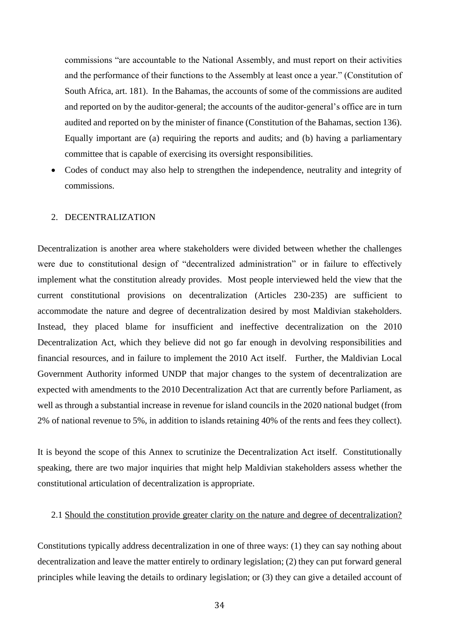commissions "are accountable to the National Assembly, and must report on their activities and the performance of their functions to the Assembly at least once a year." (Constitution of South Africa, art. 181). In the Bahamas, the accounts of some of the commissions are audited and reported on by the auditor-general; the accounts of the auditor-general's office are in turn audited and reported on by the minister of finance (Constitution of the Bahamas, section 136). Equally important are (a) requiring the reports and audits; and (b) having a parliamentary committee that is capable of exercising its oversight responsibilities.

• Codes of conduct may also help to strengthen the independence, neutrality and integrity of commissions.

#### 2. DECENTRALIZATION

Decentralization is another area where stakeholders were divided between whether the challenges were due to constitutional design of "decentralized administration" or in failure to effectively implement what the constitution already provides. Most people interviewed held the view that the current constitutional provisions on decentralization (Articles 230-235) are sufficient to accommodate the nature and degree of decentralization desired by most Maldivian stakeholders. Instead, they placed blame for insufficient and ineffective decentralization on the 2010 Decentralization Act, which they believe did not go far enough in devolving responsibilities and financial resources, and in failure to implement the 2010 Act itself. Further, the Maldivian Local Government Authority informed UNDP that major changes to the system of decentralization are expected with amendments to the 2010 Decentralization Act that are currently before Parliament, as well as through a substantial increase in revenue for island councils in the 2020 national budget (from 2% of national revenue to 5%, in addition to islands retaining 40% of the rents and fees they collect).

It is beyond the scope of this Annex to scrutinize the Decentralization Act itself. Constitutionally speaking, there are two major inquiries that might help Maldivian stakeholders assess whether the constitutional articulation of decentralization is appropriate.

#### 2.1 Should the constitution provide greater clarity on the nature and degree of decentralization?

Constitutions typically address decentralization in one of three ways: (1) they can say nothing about decentralization and leave the matter entirely to ordinary legislation; (2) they can put forward general principles while leaving the details to ordinary legislation; or (3) they can give a detailed account of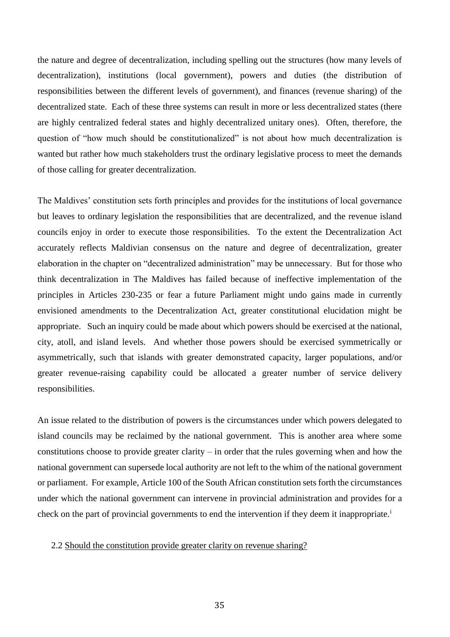the nature and degree of decentralization, including spelling out the structures (how many levels of decentralization), institutions (local government), powers and duties (the distribution of responsibilities between the different levels of government), and finances (revenue sharing) of the decentralized state. Each of these three systems can result in more or less decentralized states (there are highly centralized federal states and highly decentralized unitary ones). Often, therefore, the question of "how much should be constitutionalized" is not about how much decentralization is wanted but rather how much stakeholders trust the ordinary legislative process to meet the demands of those calling for greater decentralization.

The Maldives' constitution sets forth principles and provides for the institutions of local governance but leaves to ordinary legislation the responsibilities that are decentralized, and the revenue island councils enjoy in order to execute those responsibilities. To the extent the Decentralization Act accurately reflects Maldivian consensus on the nature and degree of decentralization, greater elaboration in the chapter on "decentralized administration" may be unnecessary. But for those who think decentralization in The Maldives has failed because of ineffective implementation of the principles in Articles 230-235 or fear a future Parliament might undo gains made in currently envisioned amendments to the Decentralization Act, greater constitutional elucidation might be appropriate. Such an inquiry could be made about which powers should be exercised at the national, city, atoll, and island levels. And whether those powers should be exercised symmetrically or asymmetrically, such that islands with greater demonstrated capacity, larger populations, and/or greater revenue-raising capability could be allocated a greater number of service delivery responsibilities.

An issue related to the distribution of powers is the circumstances under which powers delegated to island councils may be reclaimed by the national government. This is another area where some constitutions choose to provide greater clarity – in order that the rules governing when and how the national government can supersede local authority are not left to the whim of the national government or parliament. For example, Article 100 of the South African constitution sets forth the circumstances under which the national government can intervene in provincial administration and provides for a check on the part of provincial governments to end the intervention if they deem it inappropriate.<sup>i</sup>

#### 2.2 Should the constitution provide greater clarity on revenue sharing?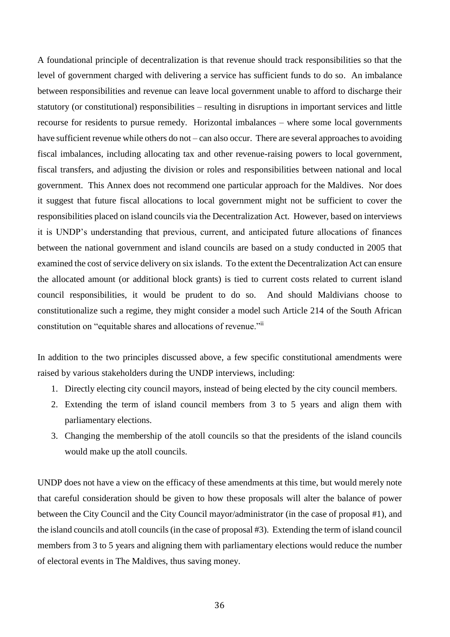A foundational principle of decentralization is that revenue should track responsibilities so that the level of government charged with delivering a service has sufficient funds to do so. An imbalance between responsibilities and revenue can leave local government unable to afford to discharge their statutory (or constitutional) responsibilities – resulting in disruptions in important services and little recourse for residents to pursue remedy. Horizontal imbalances – where some local governments have sufficient revenue while others do not – can also occur. There are several approaches to avoiding fiscal imbalances, including allocating tax and other revenue-raising powers to local government, fiscal transfers, and adjusting the division or roles and responsibilities between national and local government. This Annex does not recommend one particular approach for the Maldives. Nor does it suggest that future fiscal allocations to local government might not be sufficient to cover the responsibilities placed on island councils via the Decentralization Act. However, based on interviews it is UNDP's understanding that previous, current, and anticipated future allocations of finances between the national government and island councils are based on a study conducted in 2005 that examined the cost of service delivery on six islands. To the extent the Decentralization Act can ensure the allocated amount (or additional block grants) is tied to current costs related to current island council responsibilities, it would be prudent to do so. And should Maldivians choose to constitutionalize such a regime, they might consider a model such Article 214 of the South African constitution on "equitable shares and allocations of revenue."

In addition to the two principles discussed above, a few specific constitutional amendments were raised by various stakeholders during the UNDP interviews, including:

- 1. Directly electing city council mayors, instead of being elected by the city council members.
- 2. Extending the term of island council members from 3 to 5 years and align them with parliamentary elections.
- 3. Changing the membership of the atoll councils so that the presidents of the island councils would make up the atoll councils.

UNDP does not have a view on the efficacy of these amendments at this time, but would merely note that careful consideration should be given to how these proposals will alter the balance of power between the City Council and the City Council mayor/administrator (in the case of proposal #1), and the island councils and atoll councils (in the case of proposal #3). Extending the term of island council members from 3 to 5 years and aligning them with parliamentary elections would reduce the number of electoral events in The Maldives, thus saving money.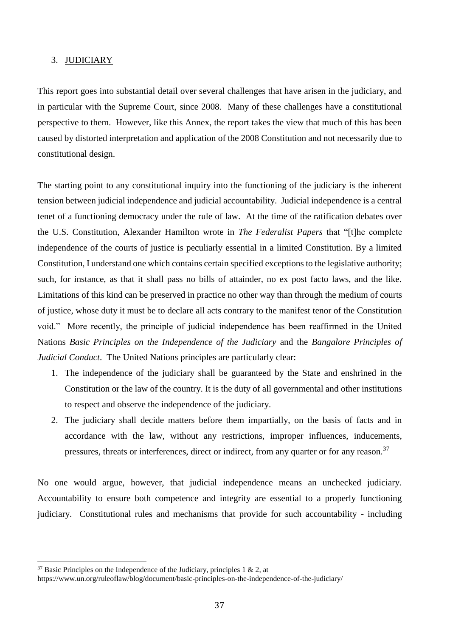#### 3. JUDICIARY

This report goes into substantial detail over several challenges that have arisen in the judiciary, and in particular with the Supreme Court, since 2008. Many of these challenges have a constitutional perspective to them. However, like this Annex, the report takes the view that much of this has been caused by distorted interpretation and application of the 2008 Constitution and not necessarily due to constitutional design.

The starting point to any constitutional inquiry into the functioning of the judiciary is the inherent tension between judicial independence and judicial accountability. Judicial independence is a central tenet of a functioning democracy under the rule of law. At the time of the ratification debates over the U.S. Constitution, Alexander Hamilton wrote in *The Federalist Papers* that "[t]he complete independence of the courts of justice is peculiarly essential in a limited Constitution. By a limited Constitution, I understand one which contains certain specified exceptions to the legislative authority; such, for instance, as that it shall pass no bills of attainder, no ex post facto laws, and the like. Limitations of this kind can be preserved in practice no other way than through the medium of courts of justice, whose duty it must be to declare all acts contrary to the manifest tenor of the Constitution void." More recently, the principle of judicial independence has been reaffirmed in the United Nations *Basic Principles on the Independence of the Judiciary* and the *Bangalore Principles of Judicial Conduct*. The United Nations principles are particularly clear:

- 1. The independence of the judiciary shall be guaranteed by the State and enshrined in the Constitution or the law of the country. It is the duty of all governmental and other institutions to respect and observe the independence of the judiciary.
- 2. The judiciary shall decide matters before them impartially, on the basis of facts and in accordance with the law, without any restrictions, improper influences, inducements, pressures, threats or interferences, direct or indirect, from any quarter or for any reason.<sup>37</sup>

No one would argue, however, that judicial independence means an unchecked judiciary. Accountability to ensure both competence and integrity are essential to a properly functioning judiciary. Constitutional rules and mechanisms that provide for such accountability - including

 $37$  Basic Principles on the Independence of the Judiciary, principles 1 & 2, at

https://www.un.org/ruleoflaw/blog/document/basic-principles-on-the-independence-of-the-judiciary/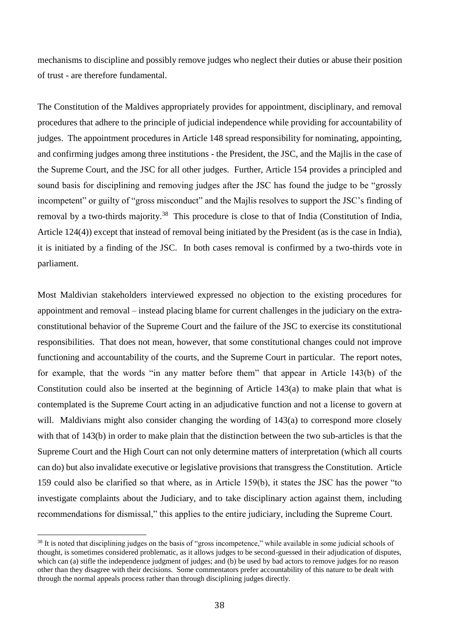mechanisms to discipline and possibly remove judges who neglect their duties or abuse their position of trust - are therefore fundamental.

The Constitution of the Maldives appropriately provides for appointment, disciplinary, and removal procedures that adhere to the principle of judicial independence while providing for accountability of judges. The appointment procedures in Article 148 spread responsibility for nominating, appointing, and confirming judges among three institutions - the President, the JSC, and the Majlis in the case of the Supreme Court, and the JSC for all other judges. Further, Article 154 provides a principled and sound basis for disciplining and removing judges after the JSC has found the judge to be "grossly incompetent" or guilty of "gross misconduct" and the Majlis resolves to support the JSC's finding of removal by a two-thirds majority.<sup>38</sup> This procedure is close to that of India (Constitution of India, Article 124(4)) except that instead of removal being initiated by the President (as is the case in India), it is initiated by a finding of the JSC. In both cases removal is confirmed by a two-thirds vote in parliament.

Most Maldivian stakeholders interviewed expressed no objection to the existing procedures for appointment and removal – instead placing blame for current challenges in the judiciary on the extraconstitutional behavior of the Supreme Court and the failure of the JSC to exercise its constitutional responsibilities. That does not mean, however, that some constitutional changes could not improve functioning and accountability of the courts, and the Supreme Court in particular. The report notes, for example, that the words "in any matter before them" that appear in Article 143(b) of the Constitution could also be inserted at the beginning of Article 143(a) to make plain that what is contemplated is the Supreme Court acting in an adjudicative function and not a license to govern at will. Maldivians might also consider changing the wording of 143(a) to correspond more closely with that of 143(b) in order to make plain that the distinction between the two sub-articles is that the Supreme Court and the High Court can not only determine matters of interpretation (which all courts can do) but also invalidate executive or legislative provisions that transgress the Constitution. Article 159 could also be clarified so that where, as in Article 159(b), it states the JSC has the power "to investigate complaints about the Judiciary, and to take disciplinary action against them, including recommendations for dismissal," this applies to the entire judiciary, including the Supreme Court.

<sup>&</sup>lt;sup>38</sup> It is noted that disciplining judges on the basis of "gross incompetence," while available in some judicial schools of thought, is sometimes considered problematic, as it allows judges to be second-guessed in their adjudication of disputes, which can (a) stifle the independence judgment of judges; and (b) be used by bad actors to remove judges for no reason other than they disagree with their decisions. Some commentators prefer accountability of this nature to be dealt with through the normal appeals process rather than through disciplining judges directly.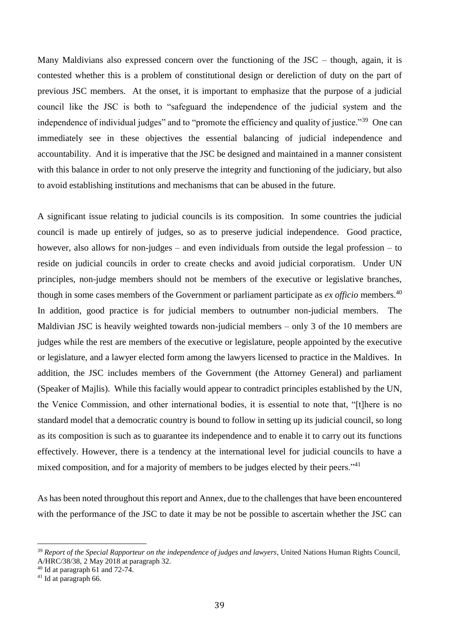Many Maldivians also expressed concern over the functioning of the JSC – though, again, it is contested whether this is a problem of constitutional design or dereliction of duty on the part of previous JSC members. At the onset, it is important to emphasize that the purpose of a judicial council like the JSC is both to "safeguard the independence of the judicial system and the independence of individual judges" and to "promote the efficiency and quality of justice."<sup>39</sup> One can immediately see in these objectives the essential balancing of judicial independence and accountability. And it is imperative that the JSC be designed and maintained in a manner consistent with this balance in order to not only preserve the integrity and functioning of the judiciary, but also to avoid establishing institutions and mechanisms that can be abused in the future.

A significant issue relating to judicial councils is its composition. In some countries the judicial council is made up entirely of judges, so as to preserve judicial independence. Good practice, however, also allows for non-judges – and even individuals from outside the legal profession – to reside on judicial councils in order to create checks and avoid judicial corporatism. Under UN principles, non-judge members should not be members of the executive or legislative branches, though in some cases members of the Government or parliament participate as *ex officio* members.<sup>40</sup> In addition, good practice is for judicial members to outnumber non-judicial members. The Maldivian JSC is heavily weighted towards non-judicial members – only 3 of the 10 members are judges while the rest are members of the executive or legislature, people appointed by the executive or legislature, and a lawyer elected form among the lawyers licensed to practice in the Maldives. In addition, the JSC includes members of the Government (the Attorney General) and parliament (Speaker of Majlis). While this facially would appear to contradict principles established by the UN, the Venice Commission, and other international bodies, it is essential to note that, "[t]here is no standard model that a democratic country is bound to follow in setting up its judicial council, so long as its composition is such as to guarantee its independence and to enable it to carry out its functions effectively. However, there is a tendency at the international level for judicial councils to have a mixed composition, and for a majority of members to be judges elected by their peers."<sup>41</sup>

As has been noted throughout this report and Annex, due to the challenges that have been encountered with the performance of the JSC to date it may be not be possible to ascertain whether the JSC can

<sup>39</sup> *Report of the Special Rapporteur on the independence of judges and lawyers*, United Nations Human Rights Council, A/HRC/38/38, 2 May 2018 at paragraph 32.

 $40$  Id at paragraph 61 and 72-74.

 $41$  Id at paragraph 66.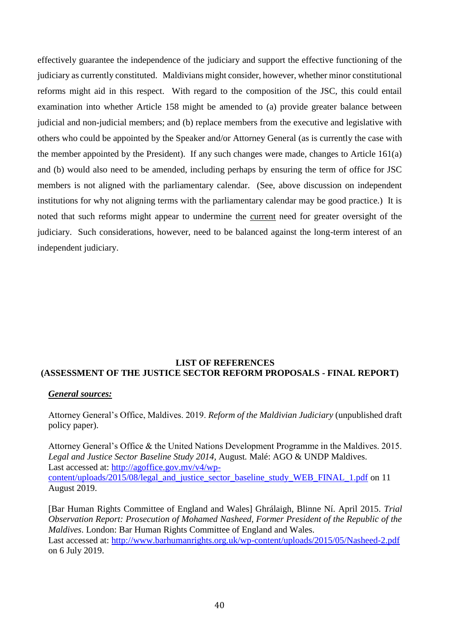effectively guarantee the independence of the judiciary and support the effective functioning of the judiciary as currently constituted. Maldivians might consider, however, whether minor constitutional reforms might aid in this respect. With regard to the composition of the JSC, this could entail examination into whether Article 158 might be amended to (a) provide greater balance between judicial and non-judicial members; and (b) replace members from the executive and legislative with others who could be appointed by the Speaker and/or Attorney General (as is currently the case with the member appointed by the President). If any such changes were made, changes to Article 161(a) and (b) would also need to be amended, including perhaps by ensuring the term of office for JSC members is not aligned with the parliamentary calendar. (See, above discussion on independent institutions for why not aligning terms with the parliamentary calendar may be good practice.) It is noted that such reforms might appear to undermine the current need for greater oversight of the judiciary. Such considerations, however, need to be balanced against the long-term interest of an independent judiciary.

#### **LIST OF REFERENCES (ASSESSMENT OF THE JUSTICE SECTOR REFORM PROPOSALS - FINAL REPORT)**

#### *General sources:*

Attorney General's Office, Maldives. 2019. *Reform of the Maldivian Judiciary* (unpublished draft policy paper).

Attorney General's Office & the United Nations Development Programme in the Maldives. 2015. *Legal and Justice Sector Baseline Study 2014,* August*.* Malé: AGO & UNDP Maldives. Last accessed at: [http://agoffice.gov.mv/v4/wp](http://agoffice.gov.mv/v4/wp-content/uploads/2015/08/legal_and_justice_sector_baseline_study_WEB_FINAL_1.pdf)[content/uploads/2015/08/legal\\_and\\_justice\\_sector\\_baseline\\_study\\_WEB\\_FINAL\\_1.pdf](http://agoffice.gov.mv/v4/wp-content/uploads/2015/08/legal_and_justice_sector_baseline_study_WEB_FINAL_1.pdf) on 11 August 2019.

[Bar Human Rights Committee of England and Wales] Ghrálaigh, Blinne Ní. April 2015. *Trial Observation Report: Prosecution of Mohamed Nasheed, Former President of the Republic of the Maldives*. London: Bar Human Rights Committee of England and Wales. Last accessed at: <http://www.barhumanrights.org.uk/wp-content/uploads/2015/05/Nasheed-2.pdf> on 6 July 2019.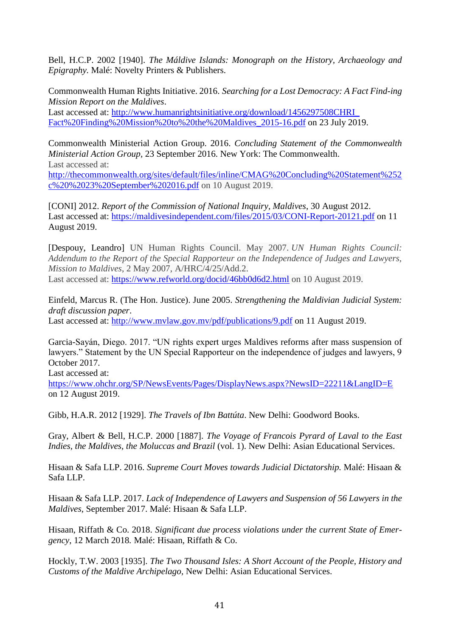Bell, H.C.P. 2002 [1940]. *The Máldive Islands: Monograph on the History, Archaeology and Epigraphy.* Malé: Novelty Printers & Publishers.

Commonwealth Human Rights Initiative. 2016. *Searching for a Lost Democracy: A Fact Find-ing Mission Report on the Maldives*.

Last accessed at: http://www.humanrightsinitiative.org/download/1456297508CHRI Fact%20Finding%20Mission%20to%20the%20Maldives\_2015-16.pdf on 23 July 2019.

Commonwealth Ministerial Action Group. 2016. *Concluding Statement of the Commonwealth Ministerial Action Group,* 23 September 2016. New York: The Commonwealth. Last accessed at: [http://thecommonwealth.org/sites/default/files/inline/CMAG%20Concluding%20Statement%252](http://thecommonwealth.org/sites/default/files/inline/CMAG%20Concluding%20Statement%252c%20%2023%20September%202016.pdf)

[c%20%2023%20September%202016.pdf](http://thecommonwealth.org/sites/default/files/inline/CMAG%20Concluding%20Statement%252c%20%2023%20September%202016.pdf) on 10 August 2019.

[CONI] 2012. *Report of the Commission of National Inquiry, Maldives*, 30 August 2012. Last accessed at:<https://maldivesindependent.com/files/2015/03/CONI-Report-20121.pdf> on 11 August 2019.

[Despouy, Leandro] UN Human Rights Council. May 2007. *UN Human Rights Council: Addendum to the Report of the Special Rapporteur on the Independence of Judges and Lawyers, Mission to Maldives*, 2 May 2007, A/HRC/4/25/Add.2. Last accessed at:<https://www.refworld.org/docid/46bb0d6d2.html> on 10 August 2019.

Einfeld, Marcus R. (The Hon. Justice). June 2005. *Strengthening the Maldivian Judicial System: draft discussion paper*.

Last accessed at:<http://www.mvlaw.gov.mv/pdf/publications/9.pdf> on 11 August 2019.

Garcia-Sayán, Diego. 2017. "UN rights expert urges Maldives reforms after mass suspension of lawyers." Statement by the UN Special Rapporteur on the independence of judges and lawyers, 9 October 2017.

Last accessed at:

<https://www.ohchr.org/SP/NewsEvents/Pages/DisplayNews.aspx?NewsID=22211&LangID=E> on 12 August 2019.

Gibb, H.A.R. 2012 [1929]. *The Travels of Ibn Battúta*. New Delhi: Goodword Books.

Gray, Albert & Bell, H.C.P. 2000 [1887]. *The Voyage of Francois Pyrard of Laval to the East Indies, the Maldives, the Moluccas and Brazil* (vol. 1). New Delhi: Asian Educational Services.

Hisaan & Safa LLP. 2016. *Supreme Court Moves towards Judicial Dictatorship.* Malé: Hisaan & Safa LLP.

Hisaan & Safa LLP. 2017. *Lack of Independence of Lawyers and Suspension of 56 Lawyers in the Maldives*, September 2017. Malé: Hisaan & Safa LLP.

Hisaan, Riffath & Co. 2018. *Significant due process violations under the current State of Emergency*, 12 March 2018*.* Malé: Hisaan, Riffath & Co.

Hockly, T.W. 2003 [1935]. *The Two Thousand Isles: A Short Account of the People, History and Customs of the Maldive Archipelago,* New Delhi: Asian Educational Services.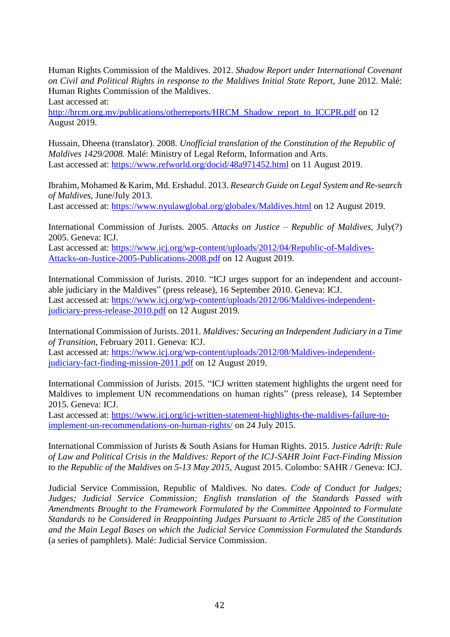Human Rights Commission of the Maldives. 2012. *Shadow Report under International Covenant on Civil and Political Rights in response to the Maldives Initial State Report, June 2012. Malé:* Human Rights Commission of the Maldives.

Last accessed at:

[http://hrcm.org.mv/publications/otherreports/HRCM\\_Shadow\\_report\\_to\\_ICCPR.pdf](http://hrcm.org.mv/publications/otherreports/HRCM_Shadow_report_to_ICCPR.pdf) on 12 August 2019.

Hussain, Dheena (translator). 2008. *Unofficial translation of the Constitution of the Republic of Maldives 1429/2008.* Malé: Ministry of Legal Reform, Information and Arts. Last accessed at: <https://www.refworld.org/docid/48a971452.html> on 11 August 2019.

Ibrahim, Mohamed & Karim, Md. Ershadul. 2013. *Research Guide on Legal System and Re-search of Maldives,* June/July 2013.

Last accessed at:<https://www.nyulawglobal.org/globalex/Maldives.html> on 12 August 2019.

International Commission of Jurists. 2005. *Attacks on Justice – Republic of Maldives,* July(?) 2005. Geneva: ICJ.

Last accessed at: [https://www.icj.org/wp-content/uploads/2012/04/Republic-of-Maldives-](https://www.icj.org/wp-content/uploads/2012/04/Republic-of-Maldives-Attacks-on-Justice-2005-Publications-2008.pdf)[Attacks-on-Justice-2005-Publications-2008.pdf](https://www.icj.org/wp-content/uploads/2012/04/Republic-of-Maldives-Attacks-on-Justice-2005-Publications-2008.pdf) on 12 August 2019.

International Commission of Jurists. 2010. "ICJ urges support for an independent and accountable judiciary in the Maldives" (press release), 16 September 2010. Geneva: ICJ. Last accessed at: [https://www.icj.org/wp-content/uploads/2012/06/Maldives-independent](https://www.icj.org/wp-content/uploads/2012/06/Maldives-independent-judiciary-press-release-2010.pdf)[judiciary-press-release-2010.pdf](https://www.icj.org/wp-content/uploads/2012/06/Maldives-independent-judiciary-press-release-2010.pdf) on 12 August 2019.

International Commission of Jurists. 2011. *Maldives: Securing an Independent Judiciary in a Time of Transition,* February 2011. Geneva: ICJ.

Last accessed at: [https://www.icj.org/wp-content/uploads/2012/08/Maldives-independent](https://www.icj.org/wp-content/uploads/2012/08/Maldives-independent-judiciary-fact-finding-mission-2011.pdf)[judiciary-fact-finding-mission-2011.pdf](https://www.icj.org/wp-content/uploads/2012/08/Maldives-independent-judiciary-fact-finding-mission-2011.pdf) on 12 August 2019.

International Commission of Jurists. 2015. "ICJ written statement highlights the urgent need for Maldives to implement UN recommendations on human rights" (press release), 14 September 2015. Geneva: ICJ.

Last accessed at: [https://www.icj.org/icj-written-statement-highlights-the-maldives-failure-to](https://www.icj.org/icj-written-statement-highlights-the-maldives-failure-to-implement-un-recommendations-on-human-rights/)[implement-un-recommendations-on-human-rights/](https://www.icj.org/icj-written-statement-highlights-the-maldives-failure-to-implement-un-recommendations-on-human-rights/) on 24 July 2015.

International Commission of Jurists & South Asians for Human Rights. 2015. *Justice Adrift: Rule of Law and Political Crisis in the Maldives: Report of the ICJ-SAHR Joint Fact-Finding Mission to the Republic of the Maldives on 5-13 May 2015,* August 2015. Colombo: SAHR / Geneva: ICJ.

Judicial Service Commission, Republic of Maldives. No dates. *Code of Conduct for Judges; Judges; Judicial Service Commission; English translation of the Standards Passed with Amendments Brought to the Framework Formulated by the Committee Appointed to Formulate Standards to be Considered in Reappointing Judges Pursuant to Article 285 of the Constitution and the Main Legal Bases on which the Judicial Service Commission Formulated the Standards*  (a series of pamphlets). Malé: Judicial Service Commission.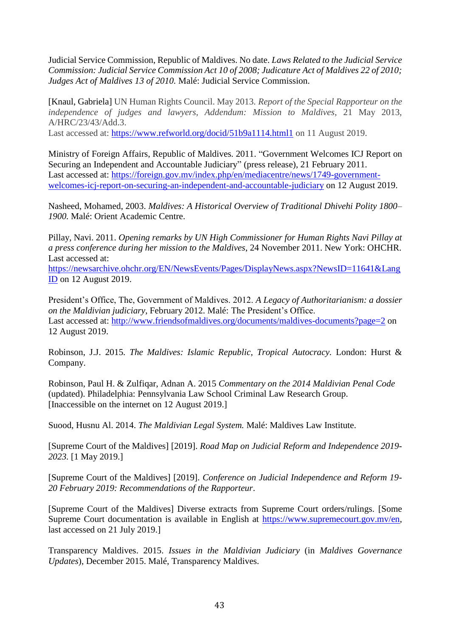Judicial Service Commission, Republic of Maldives. No date. *Laws Related to the Judicial Service Commission: Judicial Service Commission Act 10 of 2008; Judicature Act of Maldives 22 of 2010; Judges Act of Maldives 13 of 2010.* Malé: Judicial Service Commission.

[Knaul, Gabriela] UN Human Rights Council. May 2013. *Report of the Special Rapporteur on the independence of judges and lawyers, Addendum: Mission to Maldives*, 21 May 2013, A/HRC/23/43/Add.3.

Last accessed at: https://www.refworld.org/docid/51b9a1114.html1 on 11 August 2019.

Ministry of Foreign Affairs, Republic of Maldives. 2011. "Government Welcomes ICJ Report on Securing an Independent and Accountable Judiciary" (press release), 21 February 2011. Last accessed at: [https://foreign.gov.mv/index.php/en/mediacentre/news/1749-government](https://foreign.gov.mv/index.php/en/mediacentre/news/1749-government-welcomes-icj-report-on-securing-an-independent-and-accountable-judiciary)[welcomes-icj-report-on-securing-an-independent-and-accountable-judiciary](https://foreign.gov.mv/index.php/en/mediacentre/news/1749-government-welcomes-icj-report-on-securing-an-independent-and-accountable-judiciary) on 12 August 2019.

Nasheed, Mohamed, 2003. *Maldives: A Historical Overview of Traditional Dhivehi Polity 1800– 1900.* Malé: Orient Academic Centre.

Pillay, Navi. 2011. *Opening remarks by UN High Commissioner for Human Rights Navi Pillay at a press conference during her mission to the Maldives*, 24 November 2011. New York: OHCHR. Last accessed at:

[https://newsarchive.ohchr.org/EN/NewsEvents/Pages/DisplayNews.aspx?NewsID=11641&Lang](https://newsarchive.ohchr.org/EN/NewsEvents/Pages/DisplayNews.aspx?NewsID=11641&LangID) [ID](https://newsarchive.ohchr.org/EN/NewsEvents/Pages/DisplayNews.aspx?NewsID=11641&LangID) on 12 August 2019.

President's Office, The, Government of Maldives. 2012. *A Legacy of Authoritarianism: a dossier on the Maldivian judiciary*, February 2012. Malé: The President's Office. Last accessed at:<http://www.friendsofmaldives.org/documents/maldives-documents?page=2> on 12 August 2019.

Robinson, J.J. 2015*. The Maldives: Islamic Republic, Tropical Autocracy.* London: Hurst & Company.

Robinson, Paul H. & Zulfiqar, Adnan A. 2015 *Commentary on the 2014 Maldivian Penal Code*  (updated). Philadelphia: Pennsylvania Law School Criminal Law Research Group. [Inaccessible on the internet on 12 August 2019.]

Suood, Husnu Al. 2014. *The Maldivian Legal System.* Malé: Maldives Law Institute.

[Supreme Court of the Maldives] [2019]. *Road Map on Judicial Reform and Independence 2019- 2023.* [1 May 2019.]

[Supreme Court of the Maldives] [2019]. *Conference on Judicial Independence and Reform 19- 20 February 2019: Recommendations of the Rapporteur*.

[Supreme Court of the Maldives] Diverse extracts from Supreme Court orders/rulings. [Some Supreme Court documentation is available in English at [https://www.supremecourt.gov.mv/en,](https://www.supremecourt.gov.mv/en) last accessed on 21 July 2019.]

Transparency Maldives. 2015. *Issues in the Maldivian Judiciary* (in *Maldives Governance Updates*), December 2015. Malé, Transparency Maldives.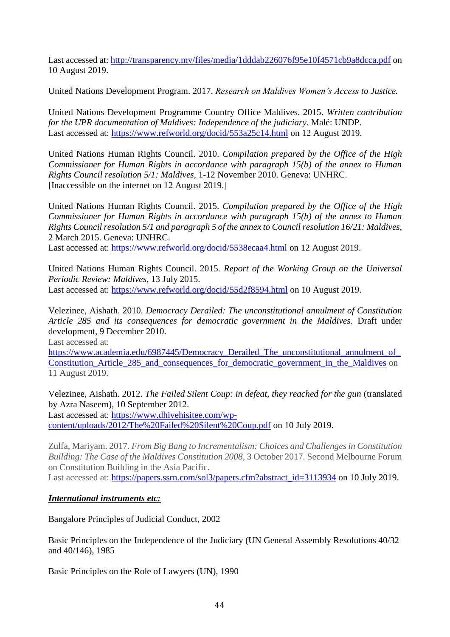Last accessed at:<http://transparency.mv/files/media/1dddab226076f95e10f4571cb9a8dcca.pdf> on 10 August 2019.

United Nations Development Program. 2017. *Research on Maldives Women's Access to Justice.*

United Nations Development Programme Country Office Maldives. 2015. *Written contribution for the UPR documentation of Maldives: Independence of the judiciary.* Malé: UNDP. Last accessed at:<https://www.refworld.org/docid/553a25c14.html> on 12 August 2019.

United Nations Human Rights Council. 2010. *Compilation prepared by the Office of the High Commissioner for Human Rights in accordance with paragraph 15(b) of the annex to Human Rights Council resolution 5/1: Maldives,* 1-12 November 2010. Geneva: UNHRC. [Inaccessible on the internet on 12 August 2019.]

United Nations Human Rights Council. 2015. *Compilation prepared by the Office of the High Commissioner for Human Rights in accordance with paragraph 15(b) of the annex to Human Rights Council resolution 5/1 and paragraph 5 of the annex to Council resolution 16/21: Maldives,* 2 March 2015. Geneva: UNHRC.

Last accessed at:<https://www.refworld.org/docid/5538ecaa4.html> on 12 August 2019.

United Nations Human Rights Council. 2015. *Report of the Working Group on the Universal Periodic Review: Maldives*, 13 July 2015. Last accessed at:<https://www.refworld.org/docid/55d2f8594.html> on 10 August 2019.

Velezinee, Aishath. 2010. *Democracy Derailed: The unconstitutional annulment of Constitution* 

*Article 285 and its consequences for democratic government in the Maldives.* Draft under development, 9 December 2010.

Last accessed at:

[https://www.academia.edu/6987445/Democracy\\_Derailed\\_The\\_unconstitutional\\_annulment\\_of\\_](https://www.academia.edu/6987445/Democracy_Derailed_The_unconstitutional_annulment_of_Constitution_Article_285_and_consequences_for_democratic_government_in_the_Maldives) [Constitution\\_Article\\_285\\_and\\_consequences\\_for\\_democratic\\_government\\_in\\_the\\_Maldives](https://www.academia.edu/6987445/Democracy_Derailed_The_unconstitutional_annulment_of_Constitution_Article_285_and_consequences_for_democratic_government_in_the_Maldives) on 11 August 2019.

Velezinee, Aishath. 2012. *The Failed Silent Coup: in defeat, they reached for the gun* (translated by Azra Naseem), 10 September 2012.

Last accessed at: [https://www.dhivehisitee.com/wp](https://www.dhivehisitee.com/wp-content/uploads/2012/The%20Failed%20Silent%20Coup.pdf)[content/uploads/2012/The%20Failed%20Silent%20Coup.pdf](https://www.dhivehisitee.com/wp-content/uploads/2012/The%20Failed%20Silent%20Coup.pdf) on 10 July 2019.

Zulfa, Mariyam. 2017. *From Big Bang to Incrementalism: Choices and Challenges in Constitution Building: The Case of the Maldives Constitution 2008*, 3 October 2017. Second Melbourne Forum on Constitution Building in the Asia Pacific.

Last accessed at: [https://papers.ssrn.com/sol3/papers.cfm?abstract\\_id=3113934](https://papers.ssrn.com/sol3/papers.cfm?abstract_id=3113934) on 10 July 2019.

# *International instruments etc:*

Bangalore Principles of Judicial Conduct, 2002

Basic Principles on the Independence of the Judiciary (UN General Assembly Resolutions 40/32 and 40/146), 1985

Basic Principles on the Role of Lawyers (UN), 1990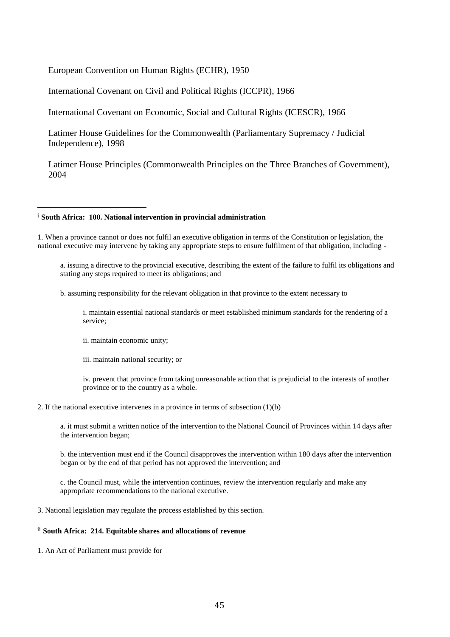European Convention on Human Rights (ECHR), 1950

International Covenant on Civil and Political Rights (ICCPR), 1966

International Covenant on Economic, Social and Cultural Rights (ICESCR), 1966

Latimer House Guidelines for the Commonwealth (Parliamentary Supremacy / Judicial Independence), 1998

Latimer House Principles (Commonwealth Principles on the Three Branches of Government), 2004

#### i **South Africa: 100. National intervention in provincial administration**

1. When a province cannot or does not fulfil an executive obligation in terms of the Constitution or legislation, the national executive may intervene by taking any appropriate steps to ensure fulfilment of that obligation, including -

a. issuing a directive to the provincial executive, describing the extent of the failure to fulfil its obligations and stating any steps required to meet its obligations; and

b. assuming responsibility for the relevant obligation in that province to the extent necessary to

i. maintain essential national standards or meet established minimum standards for the rendering of a service;

ii. maintain economic unity;

 $\overline{a}$ 

iii. maintain national security; or

iv. prevent that province from taking unreasonable action that is prejudicial to the interests of another province or to the country as a whole.

#### 2. If the national executive intervenes in a province in terms of subsection (1)(b)

a. it must submit a written notice of the intervention to the National Council of Provinces within 14 days after the intervention began;

b. the intervention must end if the Council disapproves the intervention within 180 days after the intervention began or by the end of that period has not approved the intervention; and

c. the Council must, while the intervention continues, review the intervention regularly and make any appropriate recommendations to the national executive.

3. National legislation may regulate the process established by this section.

#### ii **South Africa: 214. Equitable shares and allocations of revenue**

1. An Act of Parliament must provide for